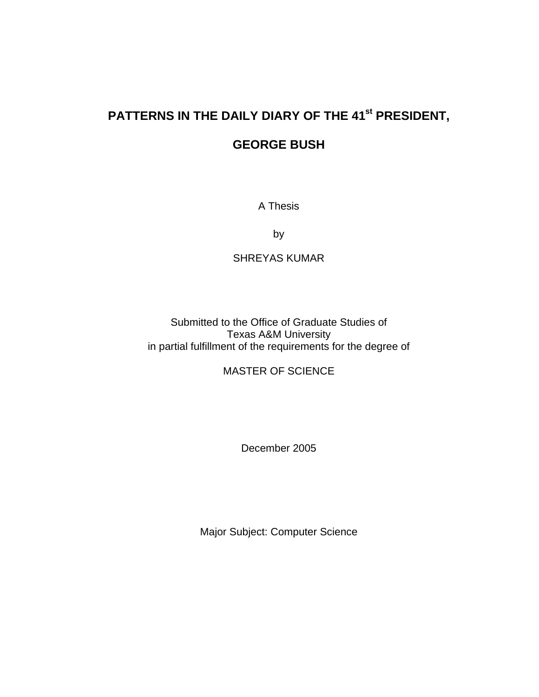# PATTERNS IN THE DAILY DIARY OF THE 41<sup>st</sup> PRESIDENT,

# **GEORGE BUSH**

A Thesis

by

# SHREYAS KUMAR

Submitted to the Office of Graduate Studies of Texas A&M University in partial fulfillment of the requirements for the degree of

MASTER OF SCIENCE

December 2005

Major Subject: Computer Science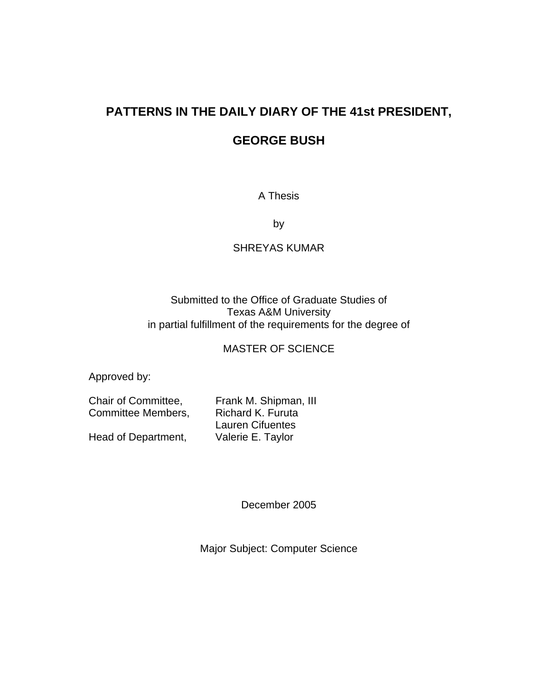# **PATTERNS IN THE DAILY DIARY OF THE 41st PRESIDENT,**

# **GEORGE BUSH**

# A Thesis

by

# SHREYAS KUMAR

# Submitted to the Office of Graduate Studies of Texas A&M University in partial fulfillment of the requirements for the degree of

# MASTER OF SCIENCE

Approved by:

Committee Members, Richard K. Furuta

Chair of Committee, Frank M. Shipman, III Lauren Cifuentes Head of Department, Valerie E. Taylor

December 2005

Major Subject: Computer Science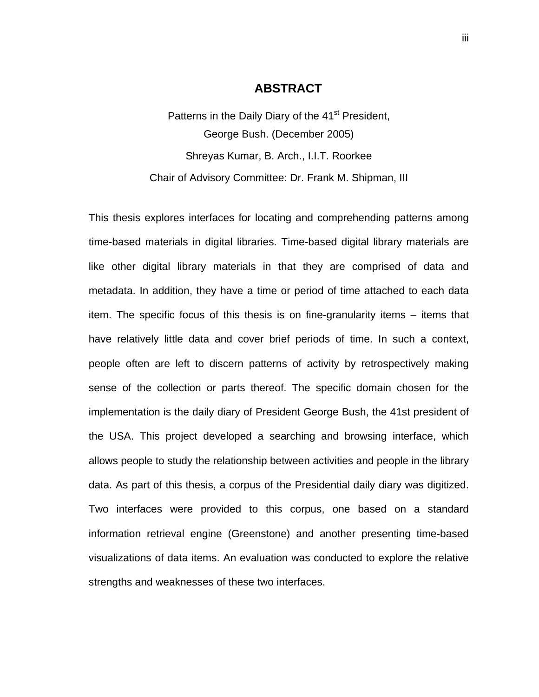### **ABSTRACT**

Patterns in the Daily Diary of the 41<sup>st</sup> President, George Bush. (December 2005) Shreyas Kumar, B. Arch., I.I.T. Roorkee Chair of Advisory Committee: Dr. Frank M. Shipman, III

This thesis explores interfaces for locating and comprehending patterns among time-based materials in digital libraries. Time-based digital library materials are like other digital library materials in that they are comprised of data and metadata. In addition, they have a time or period of time attached to each data item. The specific focus of this thesis is on fine-granularity items – items that have relatively little data and cover brief periods of time. In such a context, people often are left to discern patterns of activity by retrospectively making sense of the collection or parts thereof. The specific domain chosen for the implementation is the daily diary of President George Bush, the 41st president of the USA. This project developed a searching and browsing interface, which allows people to study the relationship between activities and people in the library data. As part of this thesis, a corpus of the Presidential daily diary was digitized. Two interfaces were provided to this corpus, one based on a standard information retrieval engine (Greenstone) and another presenting time-based visualizations of data items. An evaluation was conducted to explore the relative strengths and weaknesses of these two interfaces.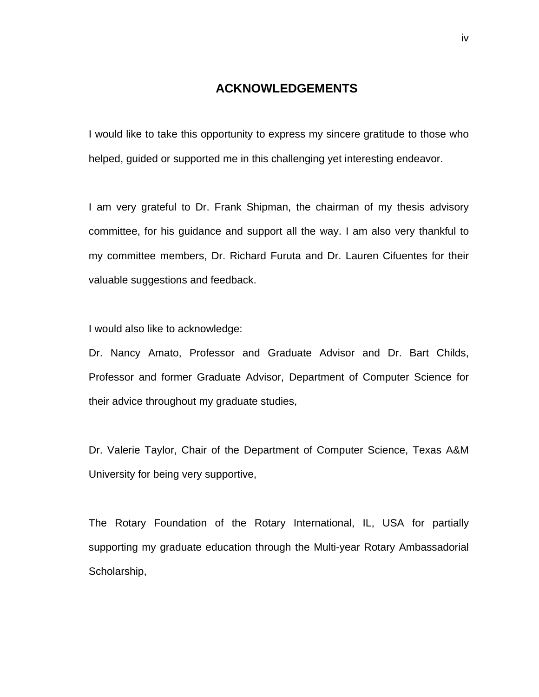## **ACKNOWLEDGEMENTS**

I would like to take this opportunity to express my sincere gratitude to those who helped, guided or supported me in this challenging yet interesting endeavor.

I am very grateful to Dr. Frank Shipman, the chairman of my thesis advisory committee, for his guidance and support all the way. I am also very thankful to my committee members, Dr. Richard Furuta and Dr. Lauren Cifuentes for their valuable suggestions and feedback.

I would also like to acknowledge:

Dr. Nancy Amato, Professor and Graduate Advisor and Dr. Bart Childs, Professor and former Graduate Advisor, Department of Computer Science for their advice throughout my graduate studies,

Dr. Valerie Taylor, Chair of the Department of Computer Science, Texas A&M University for being very supportive,

The Rotary Foundation of the Rotary International, IL, USA for partially supporting my graduate education through the Multi-year Rotary Ambassadorial Scholarship,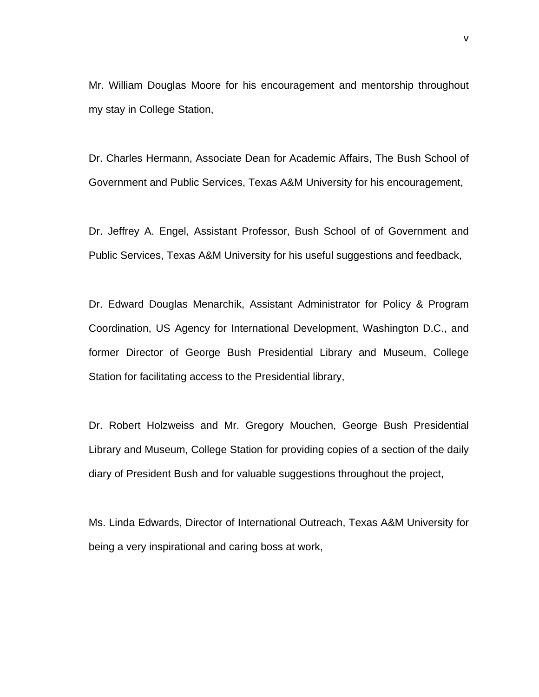Mr. William Douglas Moore for his encouragement and mentorship throughout my stay in College Station,

Dr. Charles Hermann, Associate Dean for Academic Affairs, The Bush School of Government and Public Services, Texas A&M University for his encouragement,

Dr. Jeffrey A. Engel, Assistant Professor, Bush School of of Government and Public Services, Texas A&M University for his useful suggestions and feedback,

Dr. Edward Douglas Menarchik, Assistant Administrator for Policy & Program Coordination, US Agency for International Development, Washington D.C., and former Director of George Bush Presidential Library and Museum, College Station for facilitating access to the Presidential library,

Dr. Robert Holzweiss and Mr. Gregory Mouchen, George Bush Presidential Library and Museum, College Station for providing copies of a section of the daily diary of President Bush and for valuable suggestions throughout the project,

Ms. Linda Edwards, Director of International Outreach, Texas A&M University for being a very inspirational and caring boss at work,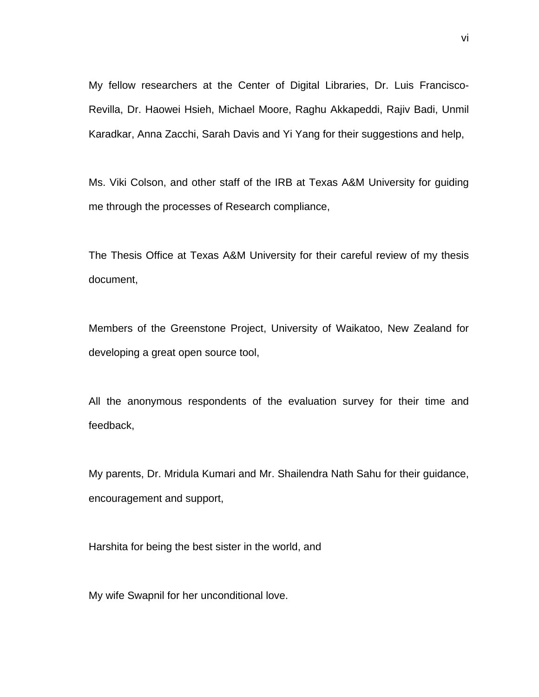My fellow researchers at the Center of Digital Libraries, Dr. Luis Francisco-Revilla, Dr. Haowei Hsieh, Michael Moore, Raghu Akkapeddi, Rajiv Badi, Unmil Karadkar, Anna Zacchi, Sarah Davis and Yi Yang for their suggestions and help,

Ms. Viki Colson, and other staff of the IRB at Texas A&M University for guiding me through the processes of Research compliance,

The Thesis Office at Texas A&M University for their careful review of my thesis document,

Members of the Greenstone Project, University of Waikatoo, New Zealand for developing a great open source tool,

All the anonymous respondents of the evaluation survey for their time and feedback,

My parents, Dr. Mridula Kumari and Mr. Shailendra Nath Sahu for their guidance, encouragement and support,

Harshita for being the best sister in the world, and

My wife Swapnil for her unconditional love.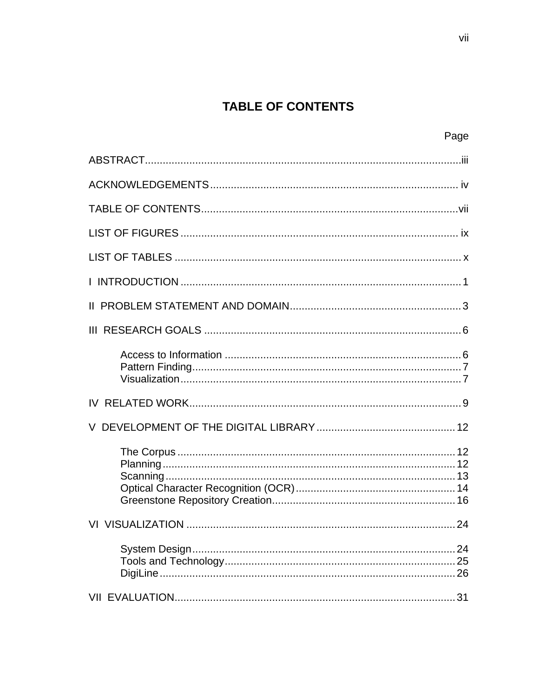# **TABLE OF CONTENTS**

Page

| 24 |
|----|
|    |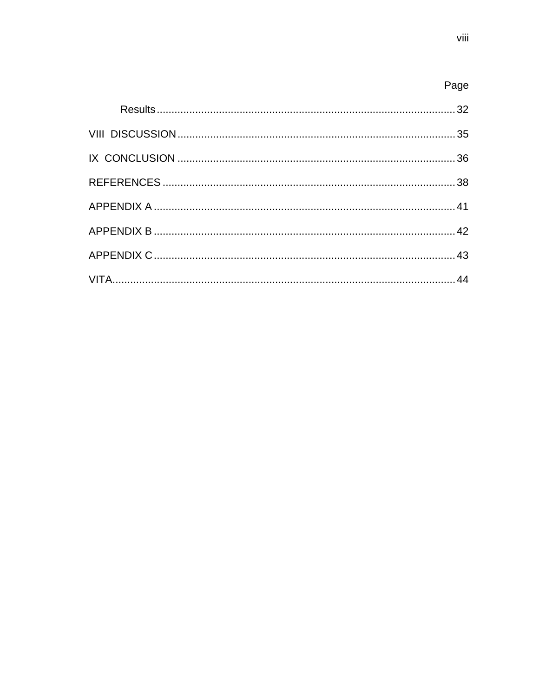| Page |
|------|
|      |
|      |
|      |
|      |
|      |
|      |
|      |
|      |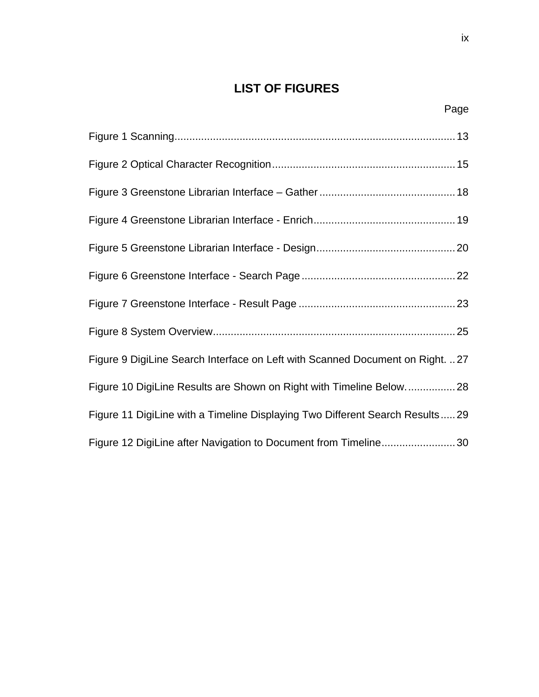# **LIST OF FIGURES**

| Figure 9 DigiLine Search Interface on Left with Scanned Document on Right. 27 |  |
|-------------------------------------------------------------------------------|--|
| Figure 10 DigiLine Results are Shown on Right with Timeline Below28           |  |
| Figure 11 DigiLine with a Timeline Displaying Two Different Search Results29  |  |
| Figure 12 DigiLine after Navigation to Document from Timeline30               |  |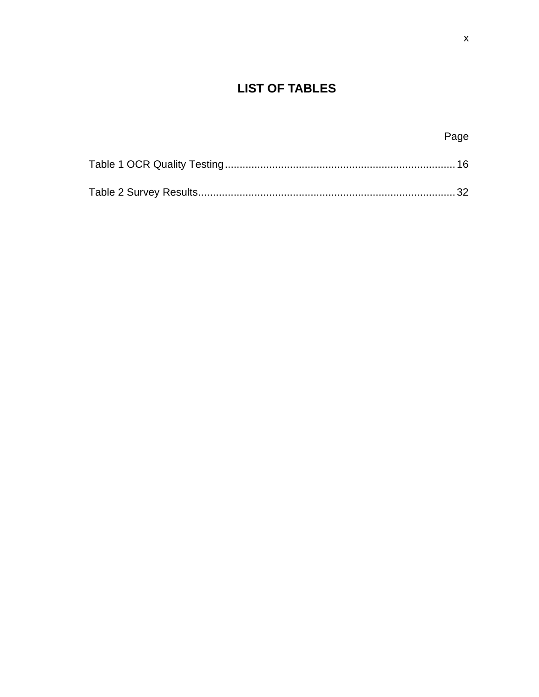# **LIST OF TABLES**

| Page |
|------|
|      |
|      |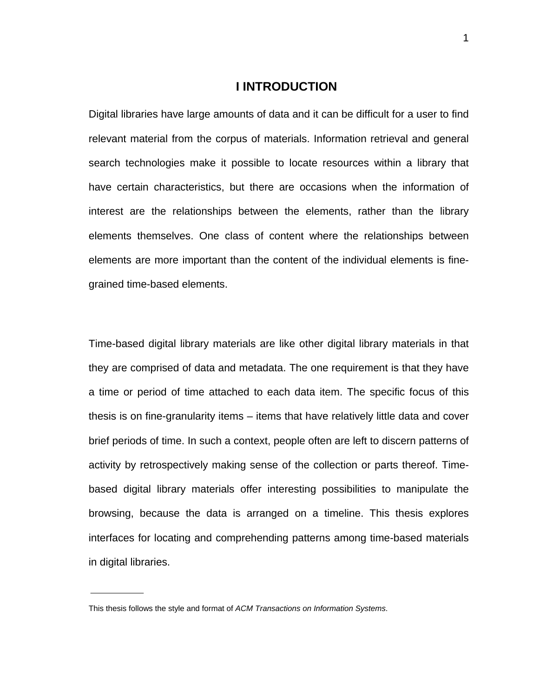## **I INTRODUCTION**

Digital libraries have large amounts of data and it can be difficult for a user to find relevant material from the corpus of materials. Information retrieval and general search technologies make it possible to locate resources within a library that have certain characteristics, but there are occasions when the information of interest are the relationships between the elements, rather than the library elements themselves. One class of content where the relationships between elements are more important than the content of the individual elements is finegrained time-based elements.

Time-based digital library materials are like other digital library materials in that they are comprised of data and metadata. The one requirement is that they have a time or period of time attached to each data item. The specific focus of this thesis is on fine-granularity items – items that have relatively little data and cover brief periods of time. In such a context, people often are left to discern patterns of activity by retrospectively making sense of the collection or parts thereof. Timebased digital library materials offer interesting possibilities to manipulate the browsing, because the data is arranged on a timeline. This thesis explores interfaces for locating and comprehending patterns among time-based materials in digital libraries.

This thesis follows the style and format of *ACM Transactions on Information Systems*.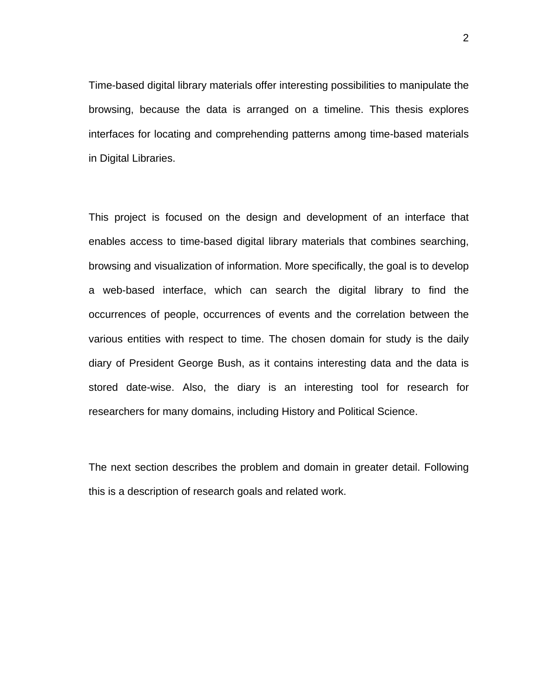Time-based digital library materials offer interesting possibilities to manipulate the browsing, because the data is arranged on a timeline. This thesis explores interfaces for locating and comprehending patterns among time-based materials in Digital Libraries.

This project is focused on the design and development of an interface that enables access to time-based digital library materials that combines searching, browsing and visualization of information. More specifically, the goal is to develop a web-based interface, which can search the digital library to find the occurrences of people, occurrences of events and the correlation between the various entities with respect to time. The chosen domain for study is the daily diary of President George Bush, as it contains interesting data and the data is stored date-wise. Also, the diary is an interesting tool for research for researchers for many domains, including History and Political Science.

The next section describes the problem and domain in greater detail. Following this is a description of research goals and related work.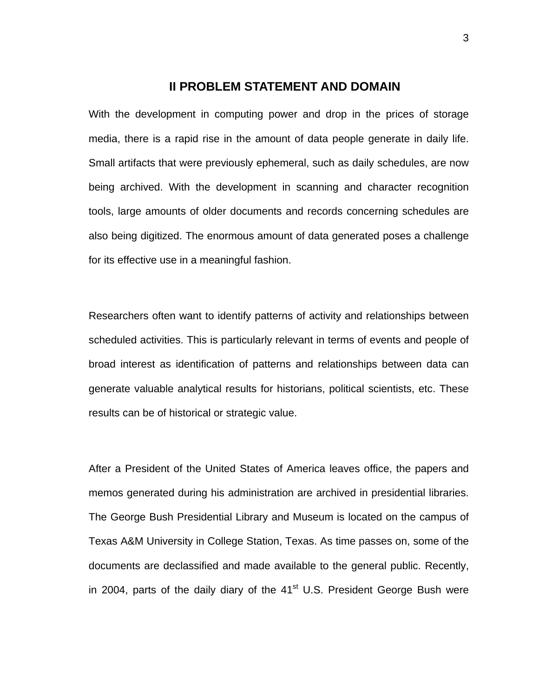## **II PROBLEM STATEMENT AND DOMAIN**

With the development in computing power and drop in the prices of storage media, there is a rapid rise in the amount of data people generate in daily life. Small artifacts that were previously ephemeral, such as daily schedules, are now being archived. With the development in scanning and character recognition tools, large amounts of older documents and records concerning schedules are also being digitized. The enormous amount of data generated poses a challenge for its effective use in a meaningful fashion.

Researchers often want to identify patterns of activity and relationships between scheduled activities. This is particularly relevant in terms of events and people of broad interest as identification of patterns and relationships between data can generate valuable analytical results for historians, political scientists, etc. These results can be of historical or strategic value.

After a President of the United States of America leaves office, the papers and memos generated during his administration are archived in presidential libraries. The George Bush Presidential Library and Museum is located on the campus of Texas A&M University in College Station, Texas. As time passes on, some of the documents are declassified and made available to the general public. Recently, in 2004, parts of the daily diary of the  $41<sup>st</sup>$  U.S. President George Bush were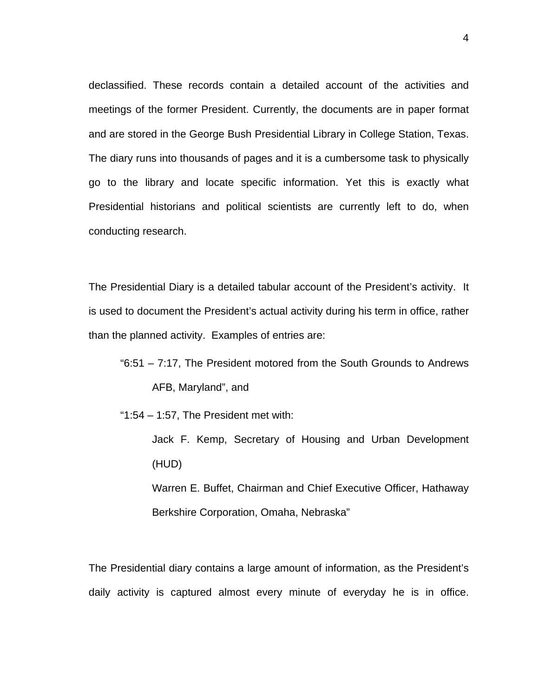declassified. These records contain a detailed account of the activities and meetings of the former President. Currently, the documents are in paper format and are stored in the George Bush Presidential Library in College Station, Texas. The diary runs into thousands of pages and it is a cumbersome task to physically go to the library and locate specific information. Yet this is exactly what Presidential historians and political scientists are currently left to do, when conducting research.

The Presidential Diary is a detailed tabular account of the President's activity. It is used to document the President's actual activity during his term in office, rather than the planned activity. Examples of entries are:

- "6:51 7:17, The President motored from the South Grounds to Andrews AFB, Maryland", and
- " $1:54 1:57$ , The President met with:
	- Jack F. Kemp, Secretary of Housing and Urban Development (HUD) Warren E. Buffet, Chairman and Chief Executive Officer, Hathaway Berkshire Corporation, Omaha, Nebraska"

The Presidential diary contains a large amount of information, as the President's daily activity is captured almost every minute of everyday he is in office.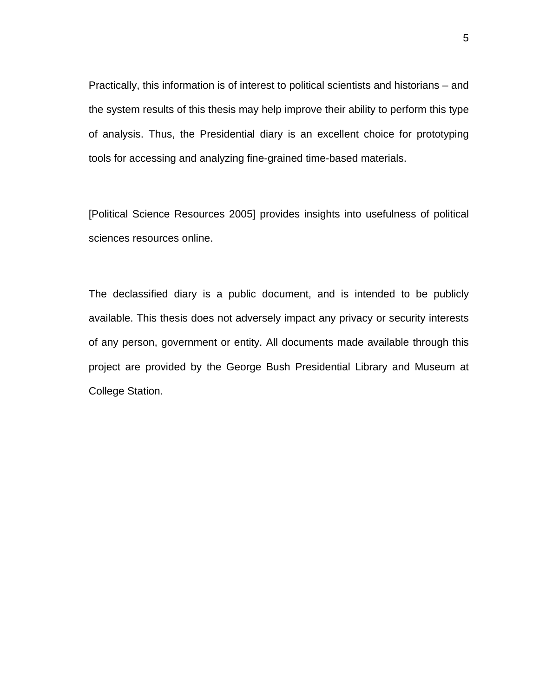Practically, this information is of interest to political scientists and historians – and the system results of this thesis may help improve their ability to perform this type of analysis. Thus, the Presidential diary is an excellent choice for prototyping tools for accessing and analyzing fine-grained time-based materials.

[Political Science Resources 2005] provides insights into usefulness of political sciences resources online.

The declassified diary is a public document, and is intended to be publicly available. This thesis does not adversely impact any privacy or security interests of any person, government or entity. All documents made available through this project are provided by the George Bush Presidential Library and Museum at College Station.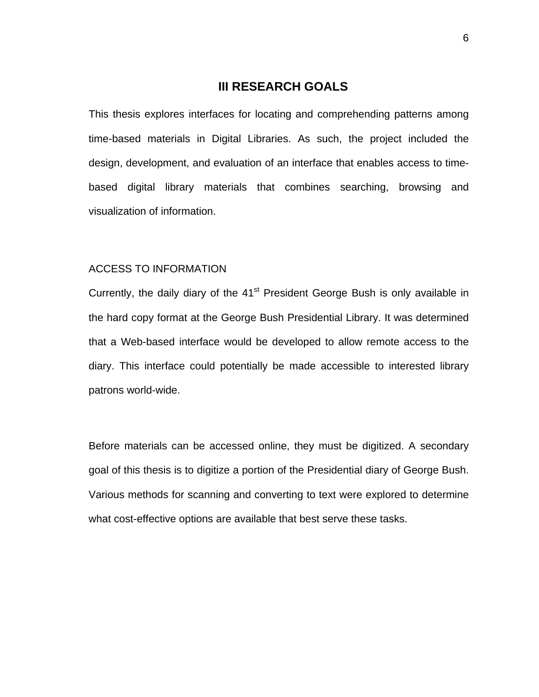## **III RESEARCH GOALS**

This thesis explores interfaces for locating and comprehending patterns among time-based materials in Digital Libraries. As such, the project included the design, development, and evaluation of an interface that enables access to timebased digital library materials that combines searching, browsing and visualization of information.

#### ACCESS TO INFORMATION

Currently, the daily diary of the 41<sup>st</sup> President George Bush is only available in the hard copy format at the George Bush Presidential Library. It was determined that a Web-based interface would be developed to allow remote access to the diary. This interface could potentially be made accessible to interested library patrons world-wide.

Before materials can be accessed online, they must be digitized. A secondary goal of this thesis is to digitize a portion of the Presidential diary of George Bush. Various methods for scanning and converting to text were explored to determine what cost-effective options are available that best serve these tasks.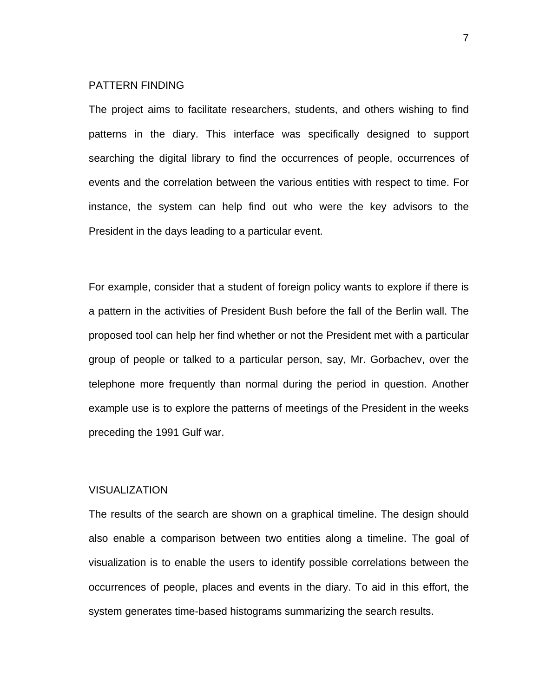#### PATTERN FINDING

The project aims to facilitate researchers, students, and others wishing to find patterns in the diary. This interface was specifically designed to support searching the digital library to find the occurrences of people, occurrences of events and the correlation between the various entities with respect to time. For instance, the system can help find out who were the key advisors to the President in the days leading to a particular event.

For example, consider that a student of foreign policy wants to explore if there is a pattern in the activities of President Bush before the fall of the Berlin wall. The proposed tool can help her find whether or not the President met with a particular group of people or talked to a particular person, say, Mr. Gorbachev, over the telephone more frequently than normal during the period in question. Another example use is to explore the patterns of meetings of the President in the weeks preceding the 1991 Gulf war.

#### VISUALIZATION

The results of the search are shown on a graphical timeline. The design should also enable a comparison between two entities along a timeline. The goal of visualization is to enable the users to identify possible correlations between the occurrences of people, places and events in the diary. To aid in this effort, the system generates time-based histograms summarizing the search results.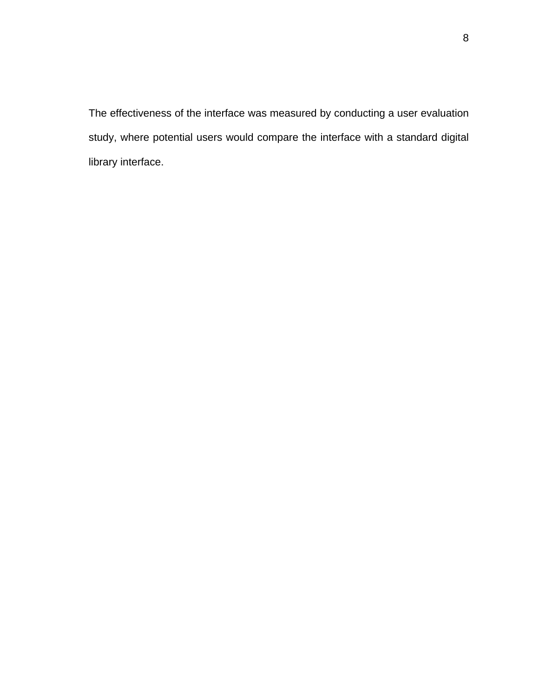The effectiveness of the interface was measured by conducting a user evaluation study, where potential users would compare the interface with a standard digital library interface.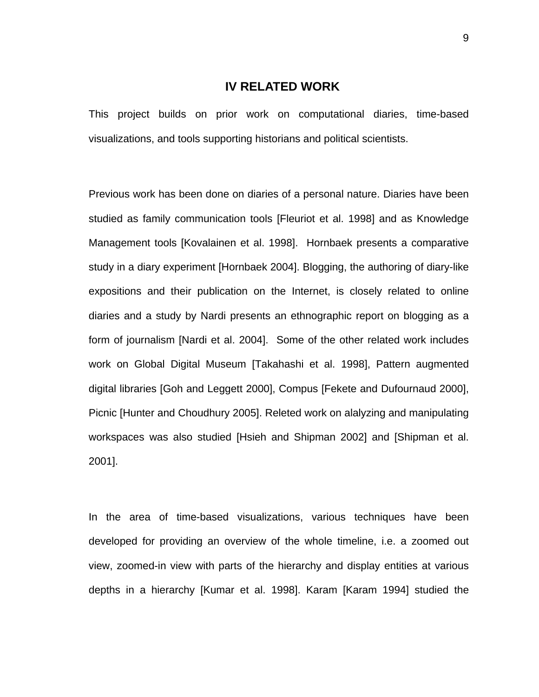### **IV RELATED WORK**

This project builds on prior work on computational diaries, time-based visualizations, and tools supporting historians and political scientists.

Previous work has been done on diaries of a personal nature. Diaries have been studied as family communication tools [Fleuriot et al. 1998] and as Knowledge Management tools [Kovalainen et al. 1998]. Hornbaek presents a comparative study in a diary experiment [Hornbaek 2004]. Blogging, the authoring of diary-like expositions and their publication on the Internet, is closely related to online diaries and a study by Nardi presents an ethnographic report on blogging as a form of journalism [Nardi et al. 2004]. Some of the other related work includes work on Global Digital Museum [Takahashi et al. 1998], Pattern augmented digital libraries [Goh and Leggett 2000], Compus [Fekete and Dufournaud 2000], Picnic [Hunter and Choudhury 2005]. Releted work on alalyzing and manipulating workspaces was also studied [Hsieh and Shipman 2002] and [Shipman et al. 2001].

In the area of time-based visualizations, various techniques have been developed for providing an overview of the whole timeline, i.e. a zoomed out view, zoomed-in view with parts of the hierarchy and display entities at various depths in a hierarchy [Kumar et al. 1998]. Karam [Karam 1994] studied the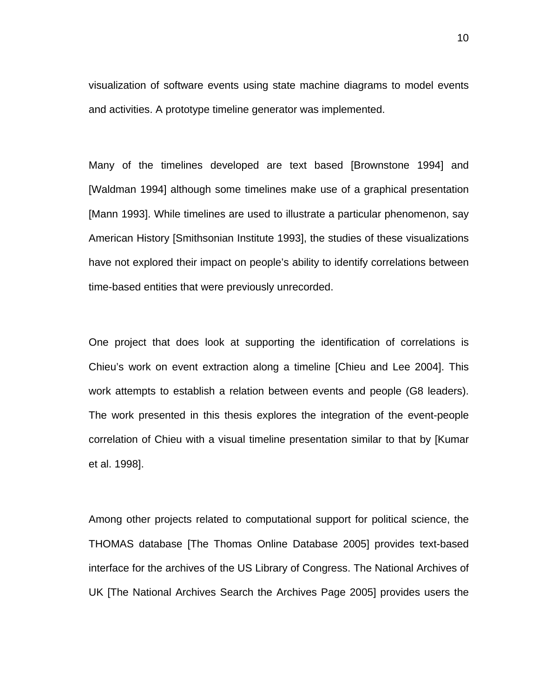visualization of software events using state machine diagrams to model events and activities. A prototype timeline generator was implemented.

Many of the timelines developed are text based [Brownstone 1994] and [Waldman 1994] although some timelines make use of a graphical presentation [Mann 1993]. While timelines are used to illustrate a particular phenomenon, say American History [Smithsonian Institute 1993], the studies of these visualizations have not explored their impact on people's ability to identify correlations between time-based entities that were previously unrecorded.

One project that does look at supporting the identification of correlations is Chieu's work on event extraction along a timeline [Chieu and Lee 2004]. This work attempts to establish a relation between events and people (G8 leaders). The work presented in this thesis explores the integration of the event-people correlation of Chieu with a visual timeline presentation similar to that by [Kumar et al. 1998].

Among other projects related to computational support for political science, the THOMAS database [The Thomas Online Database 2005] provides text-based interface for the archives of the US Library of Congress. The National Archives of UK [The National Archives Search the Archives Page 2005] provides users the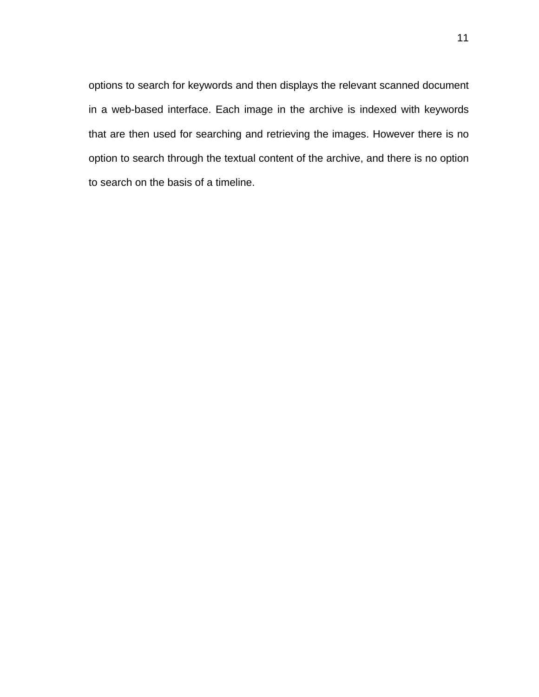options to search for keywords and then displays the relevant scanned document in a web-based interface. Each image in the archive is indexed with keywords that are then used for searching and retrieving the images. However there is no option to search through the textual content of the archive, and there is no option to search on the basis of a timeline.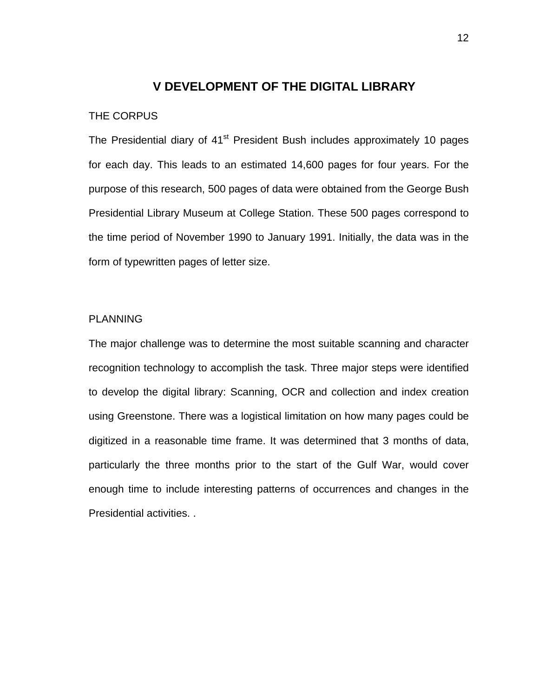## **V DEVELOPMENT OF THE DIGITAL LIBRARY**

### THE CORPUS

The Presidential diary of 41<sup>st</sup> President Bush includes approximately 10 pages for each day. This leads to an estimated 14,600 pages for four years. For the purpose of this research, 500 pages of data were obtained from the George Bush Presidential Library Museum at College Station. These 500 pages correspond to the time period of November 1990 to January 1991. Initially, the data was in the form of typewritten pages of letter size.

### PLANNING

The major challenge was to determine the most suitable scanning and character recognition technology to accomplish the task. Three major steps were identified to develop the digital library: Scanning, OCR and collection and index creation using Greenstone. There was a logistical limitation on how many pages could be digitized in a reasonable time frame. It was determined that 3 months of data, particularly the three months prior to the start of the Gulf War, would cover enough time to include interesting patterns of occurrences and changes in the Presidential activities. .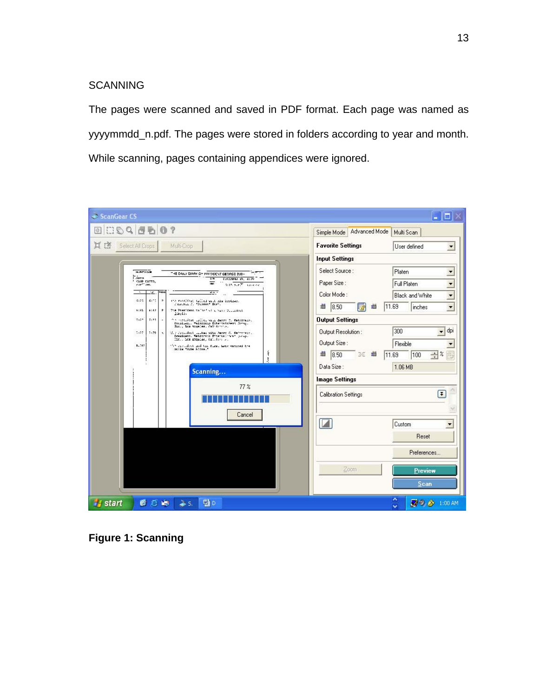## **SCANNING**

The pages were scanned and saved in PDF format. Each page was named as yyyymmdd\_n.pdf. The pages were stored in folders according to year and month. While scanning, pages containing appendices were ignored.



**Figure 1: Scanning**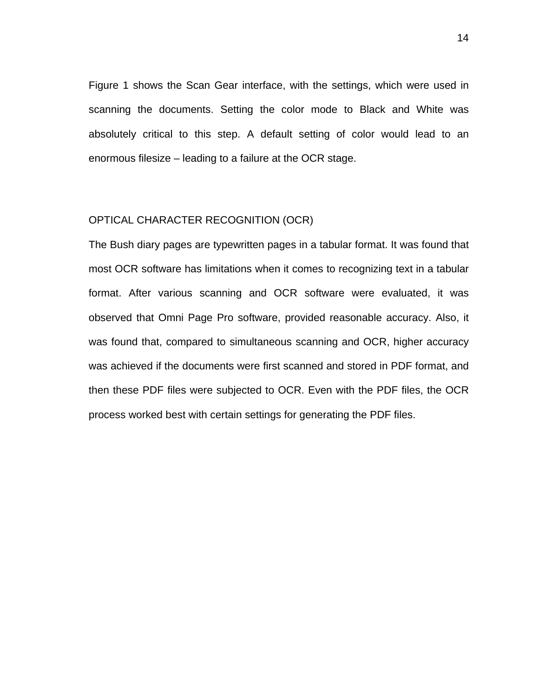Figure 1 shows the Scan Gear interface, with the settings, which were used in scanning the documents. Setting the color mode to Black and White was absolutely critical to this step. A default setting of color would lead to an enormous filesize – leading to a failure at the OCR stage.

#### OPTICAL CHARACTER RECOGNITION (OCR)

The Bush diary pages are typewritten pages in a tabular format. It was found that most OCR software has limitations when it comes to recognizing text in a tabular format. After various scanning and OCR software were evaluated, it was observed that Omni Page Pro software, provided reasonable accuracy. Also, it was found that, compared to simultaneous scanning and OCR, higher accuracy was achieved if the documents were first scanned and stored in PDF format, and then these PDF files were subjected to OCR. Even with the PDF files, the OCR process worked best with certain settings for generating the PDF files.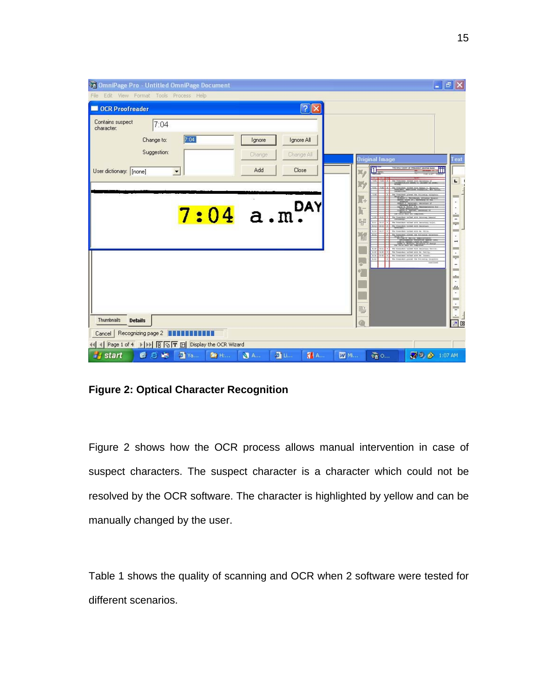| OmniPage Pro - Untitled OmniPage Document<br>Edit View Format Tools Process Help<br>File |                                    |                              |         |                         |                                   |            |              |                             |                                          |                                           | $  \mathbf{F}  \times$ |                                                                                                                                                  |
|------------------------------------------------------------------------------------------|------------------------------------|------------------------------|---------|-------------------------|-----------------------------------|------------|--------------|-----------------------------|------------------------------------------|-------------------------------------------|------------------------|--------------------------------------------------------------------------------------------------------------------------------------------------|
| <b>OCR Proofreader</b>                                                                   |                                    |                              |         |                         |                                   | ? X        |              |                             |                                          |                                           |                        |                                                                                                                                                  |
| Contains suspect<br>character:<br>User dictionary: [none]                                | 7:04<br>Change to:<br>Suggestion:  | 7:04<br>$\blacktriangledown$ |         | Ignore<br>Change<br>Add | Ignore All<br>Change All<br>Close |            |              | $M_{\odot}$<br>Жy           | Original Image<br>П                      | <b>INE DAILY DIARY OF PRESIDENT</b>       | ٠M                     | Text<br>$\mathbf{L}$                                                                                                                             |
|                                                                                          |                                    |                              | 7:04    |                         | a.m. <sup>DAY</sup>               |            |              | $\mathbb{L}$<br>與<br>넇<br>闇 | ALLES <sup>1</sup><br>1413<br><b>ALL</b> |                                           |                        | $\frac{1}{2}$<br>٠<br>$\overline{\phantom{a}}$<br>m<br>-<br><b>MAG</b><br>$\equiv$<br>$\overline{ }$<br>$\overline{a}$                           |
|                                                                                          |                                    |                              |         |                         |                                   |            |              | ł.<br>轀                     | <b>Box Ray</b>                           | the freedstof glaint the fritnetial tons; |                        | $\overline{\phantom{a}}$<br><b>REGIS</b><br>$\overline{a}$<br><b>STATE</b><br>10.01<br>$\overline{\phantom{a}}$<br>$\triangle$<br>$=$<br>W.<br>F |
| Thumbnails<br><b>Details</b>                                                             |                                    |                              |         |                         |                                   |            |              |                             |                                          |                                           |                        |                                                                                                                                                  |
| Cancel                                                                                   | Recognizing page 2 <b>FEBRUARE</b> |                              |         |                         |                                   |            |              |                             |                                          |                                           |                        |                                                                                                                                                  |
| Page 1 of 4                         Display the OCR Wizard<br><b>Start</b>               | 图后海                                | <b>图 Ya</b>                  | 图 House | <b>A.</b>               | <b>合</b> 山                        | <b>A</b> A | <b>ZZ</b> Mi |                             | <b>@O.</b>                               | 20 2 1:07 AM                              |                        |                                                                                                                                                  |

# **Figure 2: Optical Character Recognition**

Figure 2 shows how the OCR process allows manual intervention in case of suspect characters. The suspect character is a character which could not be resolved by the OCR software. The character is highlighted by yellow and can be manually changed by the user.

Table 1 shows the quality of scanning and OCR when 2 software were tested for different scenarios.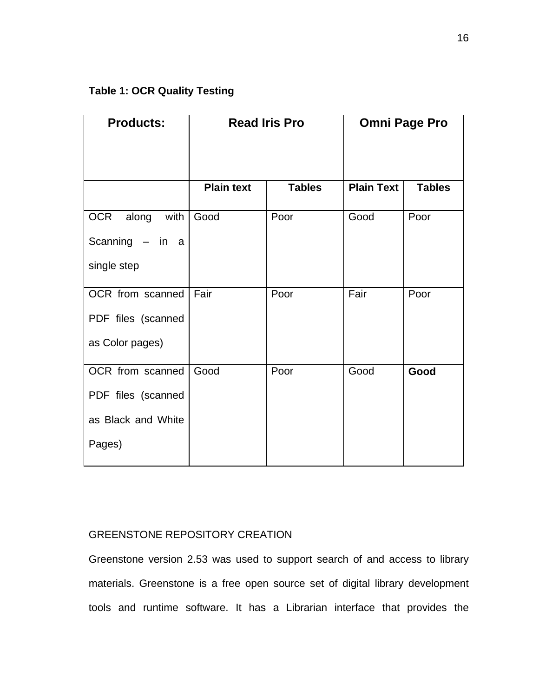| <b>Products:</b>   |                   | <b>Read Iris Pro</b> | <b>Omni Page Pro</b> |               |  |
|--------------------|-------------------|----------------------|----------------------|---------------|--|
|                    |                   |                      |                      |               |  |
|                    | <b>Plain text</b> | <b>Tables</b>        | <b>Plain Text</b>    | <b>Tables</b> |  |
| OCR along<br>with  | Good              | Poor                 | Good                 | Poor          |  |
| Scanning $-$ in a  |                   |                      |                      |               |  |
| single step        |                   |                      |                      |               |  |
| OCR from scanned   | Fair              | Poor                 | Fair                 | Poor          |  |
| PDF files (scanned |                   |                      |                      |               |  |
| as Color pages)    |                   |                      |                      |               |  |
| OCR from scanned   | Good              | Poor                 | Good                 | Good          |  |
| PDF files (scanned |                   |                      |                      |               |  |
| as Black and White |                   |                      |                      |               |  |
| Pages)             |                   |                      |                      |               |  |

# GREENSTONE REPOSITORY CREATION

Greenstone version 2.53 was used to support search of and access to library materials. Greenstone is a free open source set of digital library development tools and runtime software. It has a Librarian interface that provides the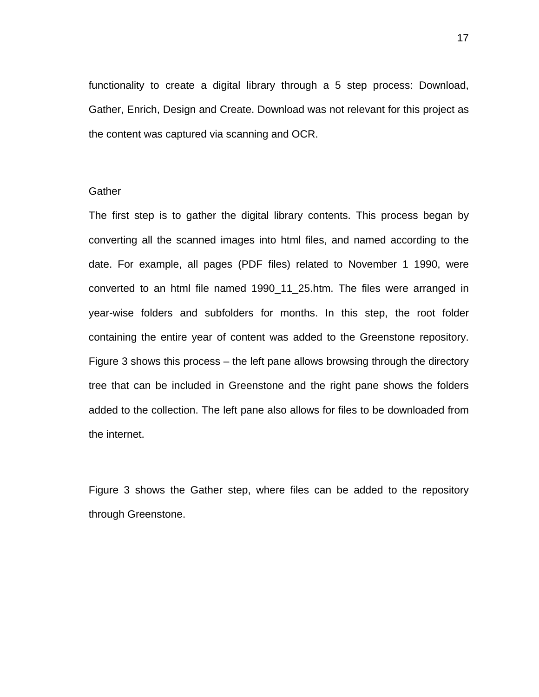functionality to create a digital library through a 5 step process: Download, Gather, Enrich, Design and Create. Download was not relevant for this project as the content was captured via scanning and OCR.

### **Gather**

The first step is to gather the digital library contents. This process began by converting all the scanned images into html files, and named according to the date. For example, all pages (PDF files) related to November 1 1990, were converted to an html file named 1990\_11\_25.htm. The files were arranged in year-wise folders and subfolders for months. In this step, the root folder containing the entire year of content was added to the Greenstone repository. Figure 3 shows this process – the left pane allows browsing through the directory tree that can be included in Greenstone and the right pane shows the folders added to the collection. The left pane also allows for files to be downloaded from the internet.

Figure 3 shows the Gather step, where files can be added to the repository through Greenstone.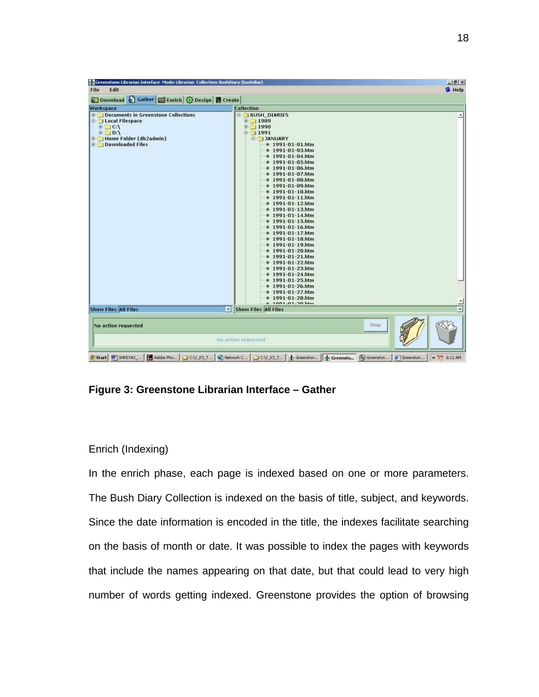| File<br>Edit                                                                                                                                                             |                                                                                                                                                                                                                                                                                                                                                                                                                                                                                                                                                      | $-10 \times$<br><sup>1</sup> Help |
|--------------------------------------------------------------------------------------------------------------------------------------------------------------------------|------------------------------------------------------------------------------------------------------------------------------------------------------------------------------------------------------------------------------------------------------------------------------------------------------------------------------------------------------------------------------------------------------------------------------------------------------------------------------------------------------------------------------------------------------|-----------------------------------|
| 6 Download S Gather <b>M</b> Enrich G Design <b>语</b> Create                                                                                                             |                                                                                                                                                                                                                                                                                                                                                                                                                                                                                                                                                      |                                   |
|                                                                                                                                                                          |                                                                                                                                                                                                                                                                                                                                                                                                                                                                                                                                                      |                                   |
| Workspace                                                                                                                                                                | <b>Collection</b>                                                                                                                                                                                                                                                                                                                                                                                                                                                                                                                                    |                                   |
| <b>E</b> Documents in Greenstone Collections<br><b>El Local Filespace</b><br>$\Box$ C:\<br>$E \square$ D:\<br><b>E</b> Home Folder (db2admin)<br><b>Downloaded Files</b> | <b>BUSH_DIARIES</b><br>$\equiv$ 1989<br>$\equiv$ 1990<br>$\equiv$ 1991<br><b>E-JANUARY</b><br>$0.1991 - 01 - 01$ .htm<br>$* 1991 - 01 - 03.htm$<br>$0.1991 - 01 - 04.htm$<br>$0.1991 - 01 - 05.htm$<br>$0.1991 - 01 - 06.htm$<br>1991-01-07.htm<br>$0.1991 - 01 - 08.htm$<br>$0.1991 - 01 - 09$ .htm<br>$91-01-10.html$<br>$0.1991 - 01 - 11$ .htm<br>$0.1991 - 01 - 12$ .htm<br>$0.1991 - 01 - 13.htm$<br>$91-01-14.html$<br>$0.1991 - 01 - 15.htm$<br>$91991 - 01 - 16.html$<br>$0.1991 - 01 - 17.htm$<br>1991-01-18.htm<br>$91991 - 01 - 19.html$ |                                   |
|                                                                                                                                                                          | 1991-01-20.htm<br>$91991 - 01 - 21.html$<br>$91-01-22.htm$<br>$0 1991 - 01 - 23.htm$<br>$0 1991 - 01 - 24.htm$<br>$0 1991 - 01 - 25.html$<br>$91-01-26.htm$<br>$0.1991 - 01 - 27$ .htm<br>$0 1991 - 01 - 28$ .htm                                                                                                                                                                                                                                                                                                                                    |                                   |
| <b>Show Files All Files</b>                                                                                                                                              | <b>A. 1001-01-20 ktm</b><br>न∥                                                                                                                                                                                                                                                                                                                                                                                                                                                                                                                       | $\frac{1}{2}$                     |
|                                                                                                                                                                          | <b>Show Files All Files</b>                                                                                                                                                                                                                                                                                                                                                                                                                                                                                                                          |                                   |
| No action requested                                                                                                                                                      | Stop<br>No action requested                                                                                                                                                                                                                                                                                                                                                                                                                                                                                                                          |                                   |

**Figure 3: Greenstone Librarian Interface – Gather** 

# Enrich (Indexing)

In the enrich phase, each page is indexed based on one or more parameters. The Bush Diary Collection is indexed on the basis of title, subject, and keywords. Since the date information is encoded in the title, the indexes facilitate searching on the basis of month or date. It was possible to index the pages with keywords that include the names appearing on that date, but that could lead to very high number of words getting indexed. Greenstone provides the option of browsing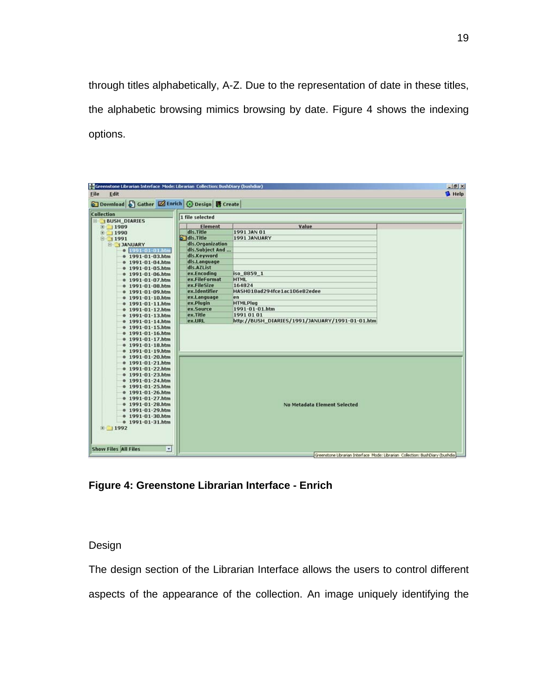through titles alphabetically, A-Z. Due to the representation of date in these titles, the alphabetic browsing mimics browsing by date. Figure 4 shows the indexing options.

| Greenstone Librarian Interface Mode: Librarian Collection: BushDiary (bushdiar)<br><b>File</b><br>Edit |                  |                                                                                | $-15$ $\times$<br><b>B</b> Help |
|--------------------------------------------------------------------------------------------------------|------------------|--------------------------------------------------------------------------------|---------------------------------|
| 5 Download 5 Gather 2 Enrich 3 Design 8 Create                                                         |                  |                                                                                |                                 |
|                                                                                                        |                  |                                                                                |                                 |
| Collection                                                                                             | 1 file selected  |                                                                                |                                 |
| <b>BUSH DIARIES</b>                                                                                    | Element          | Value                                                                          |                                 |
| 图 1989<br>$\Box$ 1990                                                                                  | dls.Title        | 1991 JAN 01                                                                    |                                 |
| 日 1991                                                                                                 | 5 Idls. Title    | 1991 JANUARY                                                                   |                                 |
| <b>E JANUARY</b>                                                                                       | dls.Organization |                                                                                |                                 |
| $O$ 1991-01-01.htm                                                                                     | dls.Subject And  |                                                                                |                                 |
| $0.1991 - 01 - 03$ .htm                                                                                | dls.Keyword      |                                                                                |                                 |
| $0.1991 - 01 - 04$ .htm                                                                                | dls.Language     |                                                                                |                                 |
| $0.1991 - 01 - 05$ .htm                                                                                | dls.AZList       |                                                                                |                                 |
| $0.1991 - 01 - 06$ .htm                                                                                | ex.Encoding      | iso 8859 1                                                                     |                                 |
| $$1991-01-07.htm$                                                                                      | ex.FileFormat    | <b>HTML</b>                                                                    |                                 |
| $0.1991 - 01 - 08.htm$                                                                                 | ex.FileSize      | 164824                                                                         |                                 |
| $0.1991 - 01 - 09.htm$                                                                                 | ex.Identifier    | HASH018ad294fce1ac106e82edee                                                   |                                 |
| $$1991-01-10.htm$                                                                                      | ex.Language      | en                                                                             |                                 |
| $$1991-01-11.html$                                                                                     | ex.Plugin        | <b>HTMLPlug</b>                                                                |                                 |
| $0 1991 - 01 - 12$ .htm                                                                                | ex.Source        | 1991-01-01.htm                                                                 |                                 |
| $0 1991 - 01 - 13.htm$                                                                                 | ex.Title         | 1991 01 01                                                                     |                                 |
| $0.1991 - 01 - 14.htm$                                                                                 | ex.URL           | http://BUSH_DIARIES/1991/JANUARY/1991-01-01.htm                                |                                 |
| $0.1991 - 01 - 15.htm$                                                                                 |                  |                                                                                |                                 |
| $0.1991 - 01 - 16$ .htm                                                                                |                  |                                                                                |                                 |
| $91-01-17.htm$                                                                                         |                  |                                                                                |                                 |
| $0 1991 - 01 - 18$ .htm                                                                                |                  |                                                                                |                                 |
| $0 1991 - 01 - 19$ .htm                                                                                |                  |                                                                                |                                 |
| $0.1991 - 01 - 20$ .htm                                                                                |                  |                                                                                |                                 |
| $91-01-21.htm$                                                                                         |                  |                                                                                |                                 |
| $0.1991 - 01 - 22$ .htm                                                                                |                  |                                                                                |                                 |
| $0.1991 - 01 - 23.htm$                                                                                 |                  |                                                                                |                                 |
| $0.1991 - 01 - 24$ .htm<br>$0.1991 - 01 - 25.htm$                                                      |                  |                                                                                |                                 |
|                                                                                                        |                  |                                                                                |                                 |
| $91-01-26.htm$<br>$0.1991 - 01 - 27$ .htm                                                              |                  |                                                                                |                                 |
| $0.1991 - 01 - 28.htm$                                                                                 |                  | No Metadata Element Selected                                                   |                                 |
| $$1991-01-29.html$                                                                                     |                  |                                                                                |                                 |
| $0 1991 - 01 - 30.htm$                                                                                 |                  |                                                                                |                                 |
| $0.1991 - 01 - 31.htm$                                                                                 |                  |                                                                                |                                 |
| 图 1992                                                                                                 |                  |                                                                                |                                 |
|                                                                                                        |                  |                                                                                |                                 |
|                                                                                                        |                  |                                                                                |                                 |
|                                                                                                        |                  |                                                                                |                                 |
| <b>Show Files All Files</b><br>×                                                                       |                  | Greenstone Librarian Interface Mode: Librarian Collection: BushDiary (bushdia) |                                 |

**Figure 4: Greenstone Librarian Interface - Enrich** 

Design

The design section of the Librarian Interface allows the users to control different aspects of the appearance of the collection. An image uniquely identifying the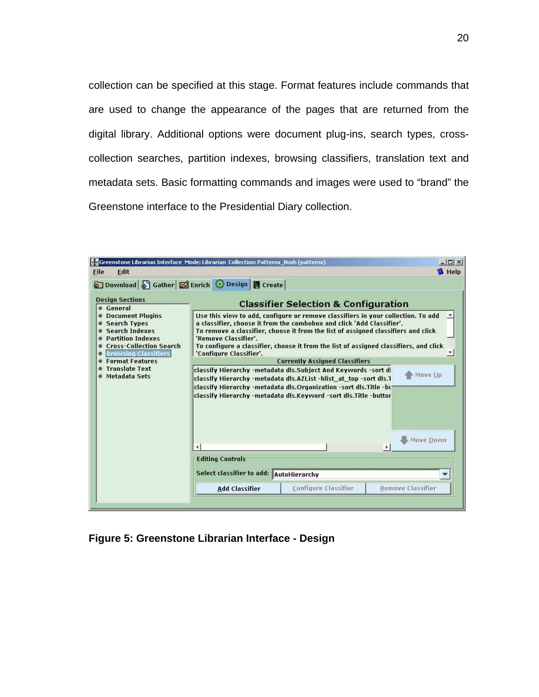collection can be specified at this stage. Format features include commands that are used to change the appearance of the pages that are returned from the digital library. Additional options were document plug-ins, search types, crosscollection searches, partition indexes, browsing classifiers, translation text and metadata sets. Basic formatting commands and images were used to "brand" the Greenstone interface to the Presidential Diary collection.

| File<br>Edit                                                                                                                                                              | <b>22 Greenstone Librarian Interface Mode: Librarian Collection: Patterns Bush (patterns)</b> |                                                                                                                                                                                                                                                                                                                                         | $\Box$<br><b>B</b> Help |
|---------------------------------------------------------------------------------------------------------------------------------------------------------------------------|-----------------------------------------------------------------------------------------------|-----------------------------------------------------------------------------------------------------------------------------------------------------------------------------------------------------------------------------------------------------------------------------------------------------------------------------------------|-------------------------|
| Download & Gather & Enrich & Design B Create                                                                                                                              |                                                                                               |                                                                                                                                                                                                                                                                                                                                         |                         |
| <b>Design Sections</b><br>General                                                                                                                                         |                                                                                               | <b>Classifier Selection &amp; Configuration</b>                                                                                                                                                                                                                                                                                         |                         |
| <b>Document Plugins</b><br><b>Search Types</b><br><b>Search Indexes</b><br><b>Partition Indexes</b><br><b>Cross-Collection Search</b><br><b>Brawsing Classifiers</b><br>叠 | 'Remove Classifier'.<br>'Configure Classifier'.                                               | Use this view to add, configure or remove classifiers in your collection. To add<br>a classifier, choose it from the combobox and click 'Add Classifier'.<br>To remove a classifier, choose it from the list of assigned classifiers and click<br>To configure a classifier, choose it from the list of assigned classifiers, and click |                         |
| <b>Format Features</b>                                                                                                                                                    |                                                                                               | <b>Currently Assigned Classifiers</b>                                                                                                                                                                                                                                                                                                   |                         |
| <b>Translate Text</b><br><b>Metadata Sets</b>                                                                                                                             |                                                                                               | classify Hierarchy -metadata dls.Subject And Keywords -sort dl<br>classify Hierarchy -metadata dls.AZList -hlist at top -sort dls.1<br>classify Hierarchy -metadata dls.Organization -sort dls.Title -bu<br>classify Hierarchy -metadata dls.Keyword -sort dls.Title -buttor                                                            | Move Up<br>Move Down    |
|                                                                                                                                                                           | <b>Editing Controls</b><br>Select classifier to add: AutoHierarchy                            |                                                                                                                                                                                                                                                                                                                                         |                         |
|                                                                                                                                                                           |                                                                                               |                                                                                                                                                                                                                                                                                                                                         |                         |

**Figure 5: Greenstone Librarian Interface - Design**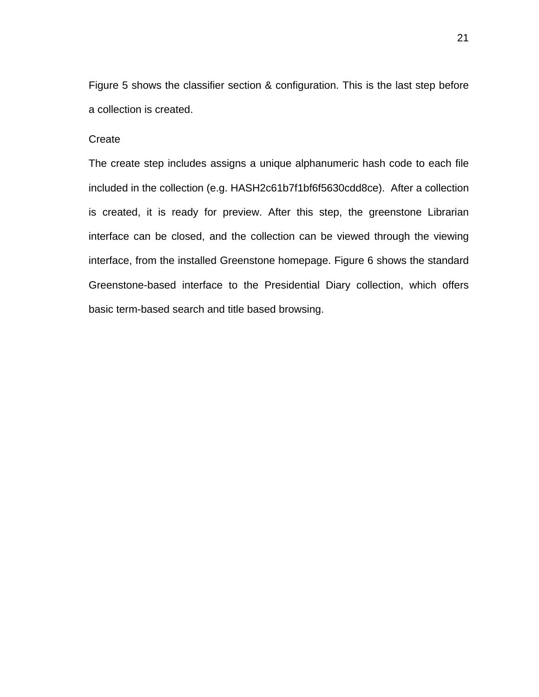Figure 5 shows the classifier section & configuration. This is the last step before a collection is created.

## **Create**

The create step includes assigns a unique alphanumeric hash code to each file included in the collection (e.g. HASH2c61b7f1bf6f5630cdd8ce). After a collection is created, it is ready for preview. After this step, the greenstone Librarian interface can be closed, and the collection can be viewed through the viewing interface, from the installed Greenstone homepage. Figure 6 shows the standard Greenstone-based interface to the Presidential Diary collection, which offers basic term-based search and title based browsing.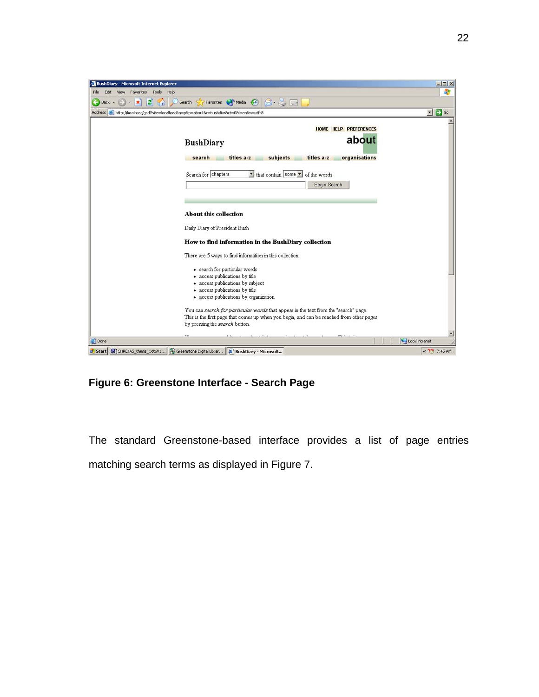

**Figure 6: Greenstone Interface - Search Page** 

The standard Greenstone-based interface provides a list of page entries matching search terms as displayed in Figure 7.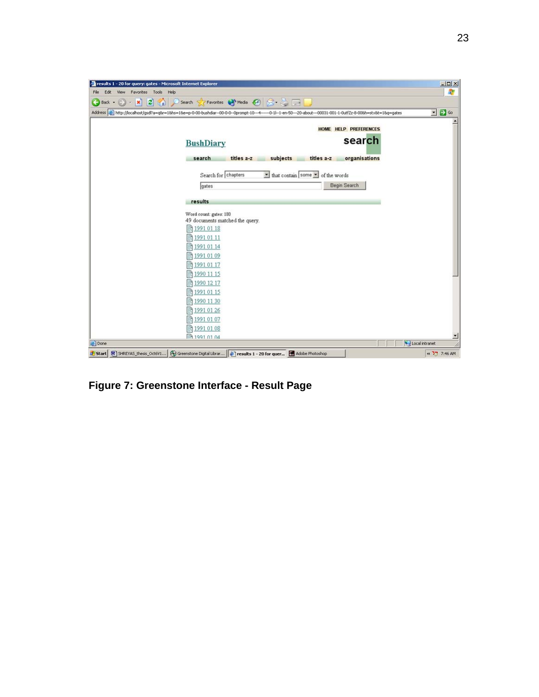

**Figure 7: Greenstone Interface - Result Page**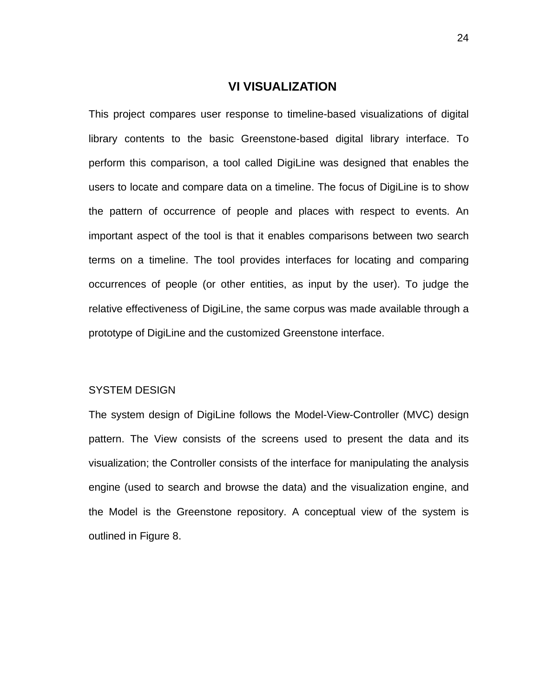## **VI VISUALIZATION**

This project compares user response to timeline-based visualizations of digital library contents to the basic Greenstone-based digital library interface. To perform this comparison, a tool called DigiLine was designed that enables the users to locate and compare data on a timeline. The focus of DigiLine is to show the pattern of occurrence of people and places with respect to events. An important aspect of the tool is that it enables comparisons between two search terms on a timeline. The tool provides interfaces for locating and comparing occurrences of people (or other entities, as input by the user). To judge the relative effectiveness of DigiLine, the same corpus was made available through a prototype of DigiLine and the customized Greenstone interface.

#### SYSTEM DESIGN

The system design of DigiLine follows the Model-View-Controller (MVC) design pattern. The View consists of the screens used to present the data and its visualization; the Controller consists of the interface for manipulating the analysis engine (used to search and browse the data) and the visualization engine, and the Model is the Greenstone repository. A conceptual view of the system is outlined in Figure 8.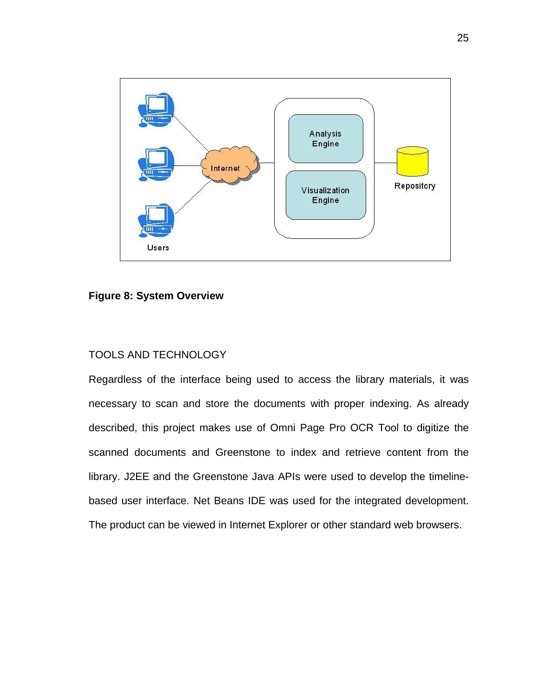

#### **Figure 8: System Overview**

# TOOLS AND TECHNOLOGY

Regardless of the interface being used to access the library materials, it was necessary to scan and store the documents with proper indexing. As already described, this project makes use of Omni Page Pro OCR Tool to digitize the scanned documents and Greenstone to index and retrieve content from the library. J2EE and the Greenstone Java APIs were used to develop the timelinebased user interface. Net Beans IDE was used for the integrated development. The product can be viewed in Internet Explorer or other standard web browsers.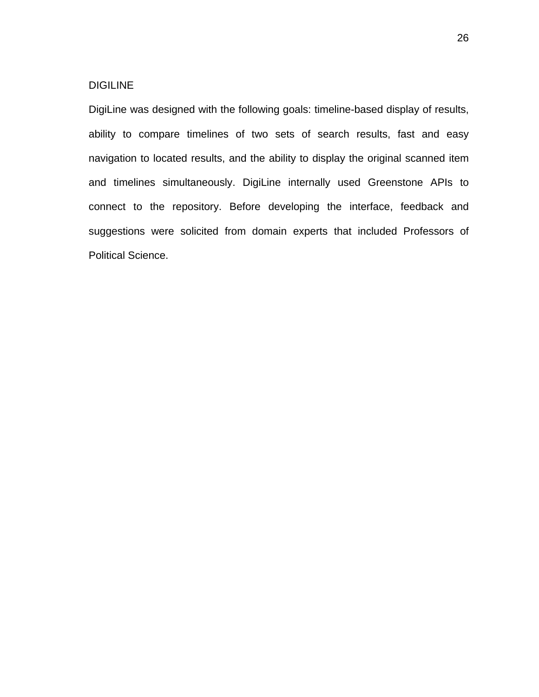#### DIGILINE

DigiLine was designed with the following goals: timeline-based display of results, ability to compare timelines of two sets of search results, fast and easy navigation to located results, and the ability to display the original scanned item and timelines simultaneously. DigiLine internally used Greenstone APIs to connect to the repository. Before developing the interface, feedback and suggestions were solicited from domain experts that included Professors of Political Science.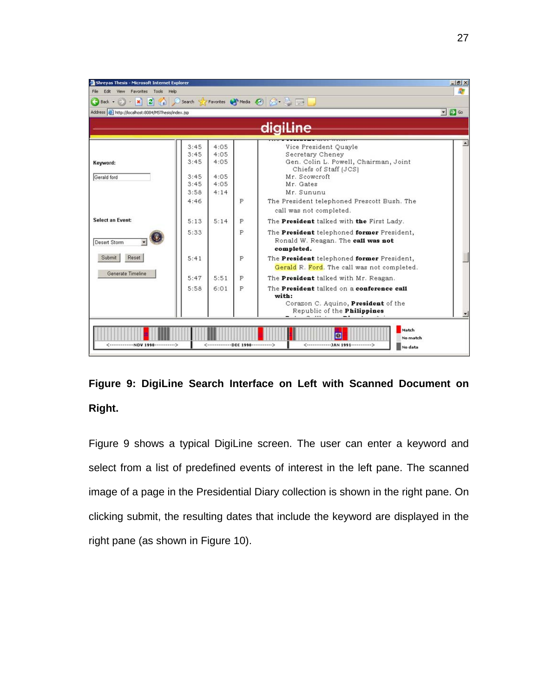| Shreyas Thesis - Microsoft Internet Explorer         |          |      |   |                                              | $-18$ $\times$             |
|------------------------------------------------------|----------|------|---|----------------------------------------------|----------------------------|
| File Edit View Favorites Tools Help                  |          |      |   |                                              |                            |
| $\vert x \vert \vert 2 \vert$<br>Back -<br>$\sim$    | Search S |      |   | Favorites Media & X -                        |                            |
| Address [6] http://localhost:8084/MSThesis/index.jsp |          |      |   |                                              | $\bullet$ $\rightarrow$ Go |
|                                                      |          |      |   |                                              |                            |
|                                                      |          |      |   | digiline                                     |                            |
|                                                      | 3:45     | 4:05 |   | Vice President Ouavle                        |                            |
|                                                      | 3:45     | 4:05 |   | Secretary Cheney                             |                            |
| Keyword:                                             | 3:45     | 4:05 |   | Gen. Colin L. Powell, Chairman, Joint        |                            |
|                                                      |          |      |   | Chiefs of Staff (JCS)                        |                            |
| Gerald ford                                          | 3:45     | 4:05 |   | Mr. Scowcroft                                |                            |
|                                                      | 3:45     | 4:05 |   | Mr. Gates                                    |                            |
|                                                      | 3:58     | 4:14 |   | Mr. Sununu                                   |                            |
|                                                      | 4:46     |      | P | The President telephoned Prescott Bush. The  |                            |
|                                                      |          |      |   | call was not completed.                      |                            |
| <b>Select an Event:</b>                              | 5:13     | 5:14 | P | The President talked with the First Lady.    |                            |
|                                                      | 5:33     |      | P | The President telephoned former President,   |                            |
| Desert Storm                                         |          |      |   | Ronald W. Reagan. The call was not           |                            |
|                                                      |          |      |   | completed.                                   |                            |
| Reset<br>Submit                                      | 5:41     |      | P | The President telephoned former President,   |                            |
| Generate Timeline                                    |          |      |   | Gerald R. Ford. The call was not completed.  |                            |
|                                                      | 5:47     | 5:51 | P | The <b>President</b> talked with Mr. Reagan. |                            |
|                                                      | 5:58     | 6:01 | P | The President talked on a conference call    |                            |
|                                                      |          |      |   | with:                                        |                            |
|                                                      |          |      |   | Corazon C. Aquino, President of the          |                            |
|                                                      |          |      |   | Republic of the Philippines                  |                            |
|                                                      |          |      |   |                                              |                            |
|                                                      |          |      |   | Match                                        |                            |
|                                                      |          |      |   | No match                                     |                            |
| <-------------NOV 1990------------>                  |          |      |   | No data                                      |                            |

**Figure 9: DigiLine Search Interface on Left with Scanned Document on Right.** 

Figure 9 shows a typical DigiLine screen. The user can enter a keyword and select from a list of predefined events of interest in the left pane. The scanned image of a page in the Presidential Diary collection is shown in the right pane. On clicking submit, the resulting dates that include the keyword are displayed in the right pane (as shown in Figure 10).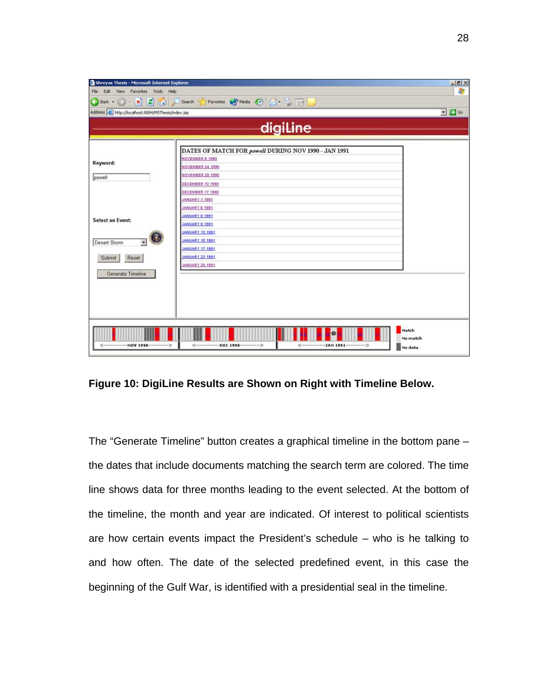| Shreyas Thesis - Microsoft Internet Explorer         |                                                                              | $-18$ $\times$             |
|------------------------------------------------------|------------------------------------------------------------------------------|----------------------------|
| Edit View<br>Favorites Tools Help<br>File            |                                                                              | 帶                          |
|                                                      | G Back + () + x 2 4 0 Search of Favorites + Media + 3 3 3                    |                            |
| Address [b] http://localhost:8084/MSThesis/index.jsp |                                                                              | $\bullet$ $\rightarrow$ Go |
|                                                      |                                                                              |                            |
|                                                      | digiline                                                                     |                            |
|                                                      |                                                                              |                            |
|                                                      | DATES OF MATCH FOR powell DURING NOV 1990 - JAN 1991                         |                            |
| Keyword:                                             | NOVEMBER 8 1990                                                              |                            |
|                                                      | NOYEMBER 24 1990                                                             |                            |
| powell                                               | <b>NOVEMBER 28 1990</b>                                                      |                            |
|                                                      | DECEMBER 10 1990                                                             |                            |
|                                                      | DECEMBER 17 1990                                                             |                            |
|                                                      | JANUARY 1 1991                                                               |                            |
|                                                      | JANUARY 6 1991                                                               |                            |
| <b>Select an Event:</b>                              | JANUARY 8 1991                                                               |                            |
|                                                      | JANUARY 9 1991                                                               |                            |
|                                                      | <b>JANUARY 13 1991</b>                                                       |                            |
| Desert Storm                                         | <b>JANUARY 15 1991</b>                                                       |                            |
|                                                      | JANUARY 17 1991                                                              |                            |
| Reset<br>Submit                                      | <b>JANUARY 23 1991</b>                                                       |                            |
|                                                      | JANUARY 28 1991                                                              |                            |
| Generate Timeline                                    |                                                                              |                            |
|                                                      |                                                                              |                            |
|                                                      |                                                                              |                            |
|                                                      |                                                                              |                            |
|                                                      |                                                                              |                            |
|                                                      |                                                                              |                            |
|                                                      |                                                                              |                            |
|                                                      |                                                                              | Match                      |
| <-------------NOV 1990------------>                  | <--------------DEC 1990------------><br><--------------JAN 1991------------> | No match                   |
|                                                      |                                                                              | No data                    |

**Figure 10: DigiLine Results are Shown on Right with Timeline Below.** 

The "Generate Timeline" button creates a graphical timeline in the bottom pane – the dates that include documents matching the search term are colored. The time line shows data for three months leading to the event selected. At the bottom of the timeline, the month and year are indicated. Of interest to political scientists are how certain events impact the President's schedule – who is he talking to and how often. The date of the selected predefined event, in this case the beginning of the Gulf War, is identified with a presidential seal in the timeline.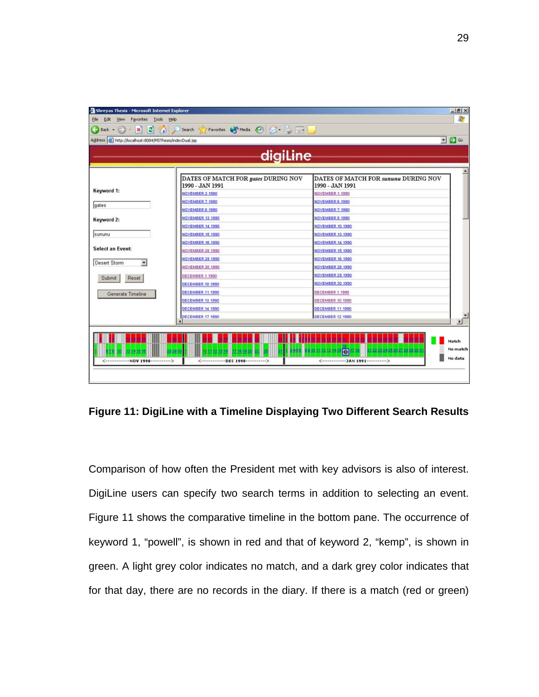| Shreyas Thesis - Microsoft Internet Explorer                            |                                                                                                                                                                                                                                |                                                         | $-18$ $\times$             |
|-------------------------------------------------------------------------|--------------------------------------------------------------------------------------------------------------------------------------------------------------------------------------------------------------------------------|---------------------------------------------------------|----------------------------|
| Edit<br>View Favorites Tools Help<br>File                               |                                                                                                                                                                                                                                |                                                         | 舮                          |
| $\left  2 \right $<br>Back $\cdot$ $\cdot$ $\cdot$ $\cdot$ $\cdot$<br>e | Search Search Stravorites Change Media Contract Contract Contract Contract Contract Contract Contract Contract Contract Contract Contract Contract Contract Contract Contract Contract Contract Contract Contract Contract Con |                                                         |                            |
| Address   http://localhost:8084/MSThesis/indexDual.jsp                  |                                                                                                                                                                                                                                |                                                         | $\bullet$ $\rightarrow$ Go |
|                                                                         |                                                                                                                                                                                                                                |                                                         |                            |
|                                                                         | digiline                                                                                                                                                                                                                       |                                                         |                            |
|                                                                         |                                                                                                                                                                                                                                |                                                         |                            |
|                                                                         | DATES OF MATCH FOR gates DURING NOV<br>1990 - JAN 1991                                                                                                                                                                         | DATES OF MATCH FOR SUNUNU DURING NOV<br>1990 - JAN 1991 |                            |
| Keyword 1:                                                              | NOVEMBER 3 1990                                                                                                                                                                                                                | NOVEMBER 1 1990                                         |                            |
|                                                                         | NOVEMBER 7 1990                                                                                                                                                                                                                | NOVEMBER 6 1990                                         |                            |
| gates                                                                   | NOVEMBER 8 1990                                                                                                                                                                                                                | NOVEMBER 7 1990                                         |                            |
| Keyword 2:                                                              | NOVEMBER 13 1990                                                                                                                                                                                                               | NOVEMBER 8 1990                                         |                            |
|                                                                         | NOVEMBER 14 1990                                                                                                                                                                                                               | NOVEMBER 10 1990                                        |                            |
| sununu                                                                  | NOVEMBER 15 1990                                                                                                                                                                                                               | <b>NOVEMBER 13 1990</b>                                 |                            |
|                                                                         | NOVEMBER 16 1990                                                                                                                                                                                                               | NOVEMBER 14 1990                                        |                            |
| <b>Select an Event:</b>                                                 | NOVEMBER 28 1990                                                                                                                                                                                                               | NOVEMBER 15 1990                                        |                            |
| Desert Storm<br>۰                                                       | NOVEMBER 29 1990                                                                                                                                                                                                               | NOVEMBER 16 1990                                        |                            |
|                                                                         | NOVEMBER 30 1990                                                                                                                                                                                                               | <b>NOVEMBER 28 1990</b>                                 |                            |
| Reset<br>Submit                                                         | DECEMBER 1 1990                                                                                                                                                                                                                | NOVEMBER 29 1990                                        |                            |
|                                                                         | DECEMBER 10 1990                                                                                                                                                                                                               | NOVEMBER 30 1990                                        |                            |
| Generate Timeline                                                       | DECEMBER 11 1990                                                                                                                                                                                                               | DECEMBER 1 1990                                         |                            |
|                                                                         | DECEMBER 13 1990                                                                                                                                                                                                               | DECEMBER 10 1990                                        |                            |
|                                                                         | DECEMBER 14 1990                                                                                                                                                                                                               | DECEMBER 11 1990                                        |                            |
|                                                                         | DECEMBER 17 1990                                                                                                                                                                                                               | DECEMBER 12 1990                                        |                            |

**Figure 11: DigiLine with a Timeline Displaying Two Different Search Results** 

Comparison of how often the President met with key advisors is also of interest. DigiLine users can specify two search terms in addition to selecting an event. Figure 11 shows the comparative timeline in the bottom pane. The occurrence of keyword 1, "powell", is shown in red and that of keyword 2, "kemp", is shown in green. A light grey color indicates no match, and a dark grey color indicates that for that day, there are no records in the diary. If there is a match (red or green)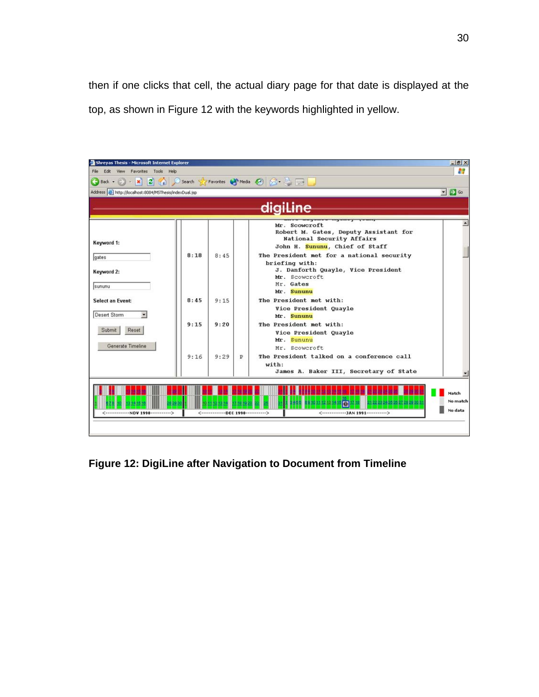then if one clicks that cell, the actual diary page for that date is displayed at the top, as shown in Figure 12 with the keywords highlighted in yellow.



**Figure 12: DigiLine after Navigation to Document from Timeline**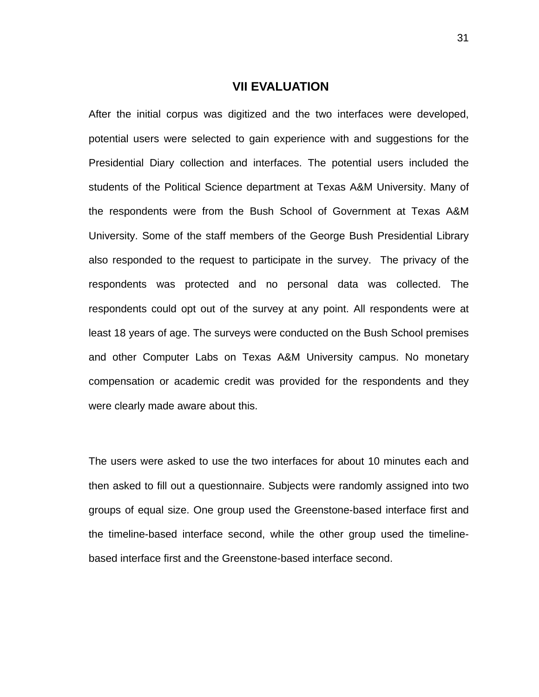## **VII EVALUATION**

After the initial corpus was digitized and the two interfaces were developed, potential users were selected to gain experience with and suggestions for the Presidential Diary collection and interfaces. The potential users included the students of the Political Science department at Texas A&M University. Many of the respondents were from the Bush School of Government at Texas A&M University. Some of the staff members of the George Bush Presidential Library also responded to the request to participate in the survey. The privacy of the respondents was protected and no personal data was collected. The respondents could opt out of the survey at any point. All respondents were at least 18 years of age. The surveys were conducted on the Bush School premises and other Computer Labs on Texas A&M University campus. No monetary compensation or academic credit was provided for the respondents and they were clearly made aware about this.

The users were asked to use the two interfaces for about 10 minutes each and then asked to fill out a questionnaire. Subjects were randomly assigned into two groups of equal size. One group used the Greenstone-based interface first and the timeline-based interface second, while the other group used the timelinebased interface first and the Greenstone-based interface second.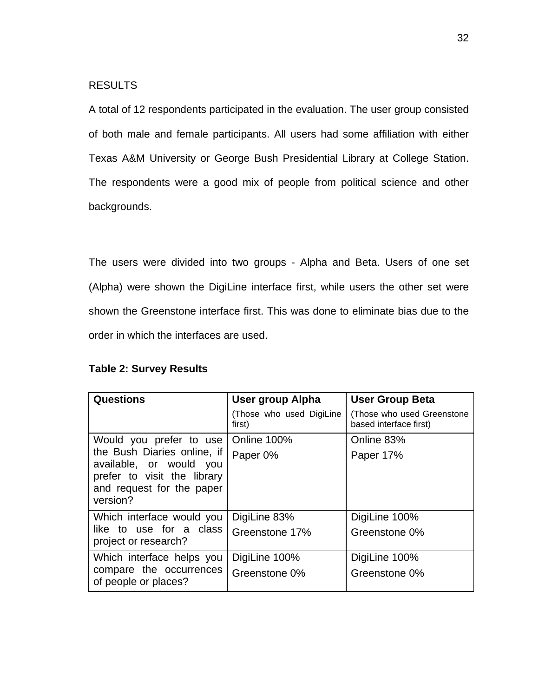### RESULTS

A total of 12 respondents participated in the evaluation. The user group consisted of both male and female participants. All users had some affiliation with either Texas A&M University or George Bush Presidential Library at College Station. The respondents were a good mix of people from political science and other backgrounds.

The users were divided into two groups - Alpha and Beta. Users of one set (Alpha) were shown the DigiLine interface first, while users the other set were shown the Greenstone interface first. This was done to eliminate bias due to the order in which the interfaces are used.

|  | <b>Table 2: Survey Results</b> |  |
|--|--------------------------------|--|
|--|--------------------------------|--|

| <b>Questions</b>                                                                                                               | User group Alpha                   | <b>User Group Beta</b>                               |
|--------------------------------------------------------------------------------------------------------------------------------|------------------------------------|------------------------------------------------------|
|                                                                                                                                | (Those who used DigiLine<br>first) | (Those who used Greenstone<br>based interface first) |
| Would you prefer to use                                                                                                        | Online 100%                        | Online 83%                                           |
| the Bush Diaries online, if<br>available, or would you<br>prefer to visit the library<br>and request for the paper<br>version? | Paper 0%                           | Paper 17%                                            |
| Which interface would you                                                                                                      | DigiLine 83%                       | DigiLine 100%                                        |
| like to use for a class<br>project or research?                                                                                | Greenstone 17%                     | Greenstone 0%                                        |
| Which interface helps you                                                                                                      | DigiLine 100%                      | DigiLine 100%                                        |
| compare the occurrences<br>of people or places?                                                                                | Greenstone 0%                      | Greenstone 0%                                        |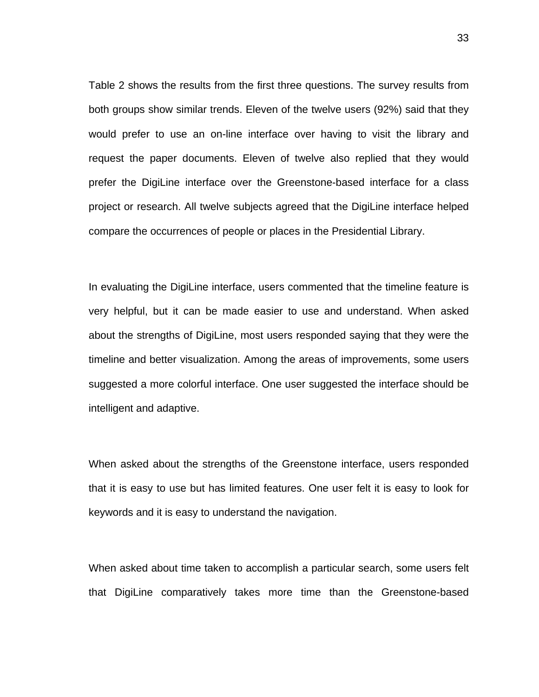Table 2 shows the results from the first three questions. The survey results from both groups show similar trends. Eleven of the twelve users (92%) said that they would prefer to use an on-line interface over having to visit the library and request the paper documents. Eleven of twelve also replied that they would prefer the DigiLine interface over the Greenstone-based interface for a class project or research. All twelve subjects agreed that the DigiLine interface helped compare the occurrences of people or places in the Presidential Library.

In evaluating the DigiLine interface, users commented that the timeline feature is very helpful, but it can be made easier to use and understand. When asked about the strengths of DigiLine, most users responded saying that they were the timeline and better visualization. Among the areas of improvements, some users suggested a more colorful interface. One user suggested the interface should be intelligent and adaptive.

When asked about the strengths of the Greenstone interface, users responded that it is easy to use but has limited features. One user felt it is easy to look for keywords and it is easy to understand the navigation.

When asked about time taken to accomplish a particular search, some users felt that DigiLine comparatively takes more time than the Greenstone-based

33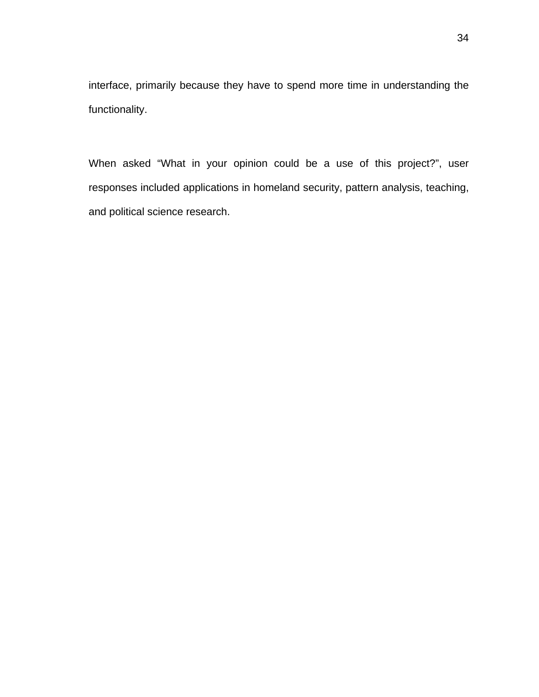interface, primarily because they have to spend more time in understanding the functionality.

When asked "What in your opinion could be a use of this project?", user responses included applications in homeland security, pattern analysis, teaching, and political science research.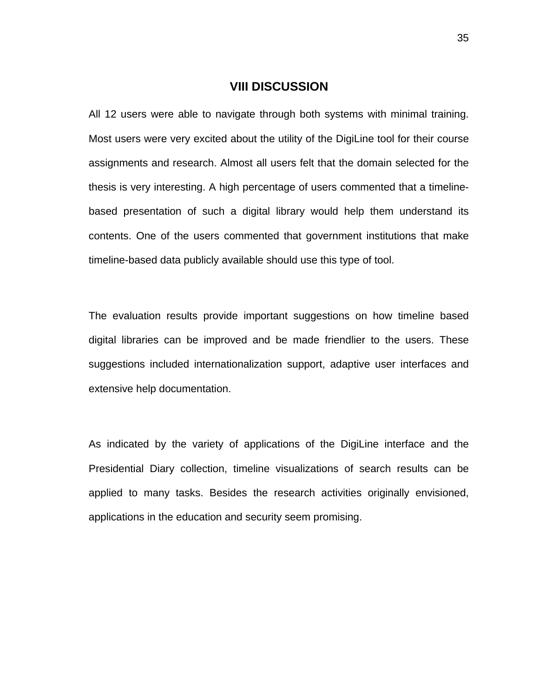### **VIII DISCUSSION**

All 12 users were able to navigate through both systems with minimal training. Most users were very excited about the utility of the DigiLine tool for their course assignments and research. Almost all users felt that the domain selected for the thesis is very interesting. A high percentage of users commented that a timelinebased presentation of such a digital library would help them understand its contents. One of the users commented that government institutions that make timeline-based data publicly available should use this type of tool.

The evaluation results provide important suggestions on how timeline based digital libraries can be improved and be made friendlier to the users. These suggestions included internationalization support, adaptive user interfaces and extensive help documentation.

As indicated by the variety of applications of the DigiLine interface and the Presidential Diary collection, timeline visualizations of search results can be applied to many tasks. Besides the research activities originally envisioned, applications in the education and security seem promising.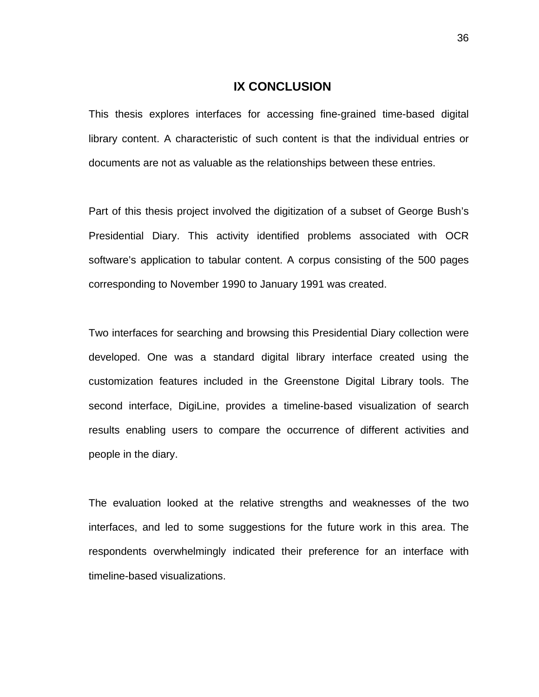## **IX CONCLUSION**

This thesis explores interfaces for accessing fine-grained time-based digital library content. A characteristic of such content is that the individual entries or documents are not as valuable as the relationships between these entries.

Part of this thesis project involved the digitization of a subset of George Bush's Presidential Diary. This activity identified problems associated with OCR software's application to tabular content. A corpus consisting of the 500 pages corresponding to November 1990 to January 1991 was created.

Two interfaces for searching and browsing this Presidential Diary collection were developed. One was a standard digital library interface created using the customization features included in the Greenstone Digital Library tools. The second interface, DigiLine, provides a timeline-based visualization of search results enabling users to compare the occurrence of different activities and people in the diary.

The evaluation looked at the relative strengths and weaknesses of the two interfaces, and led to some suggestions for the future work in this area. The respondents overwhelmingly indicated their preference for an interface with timeline-based visualizations.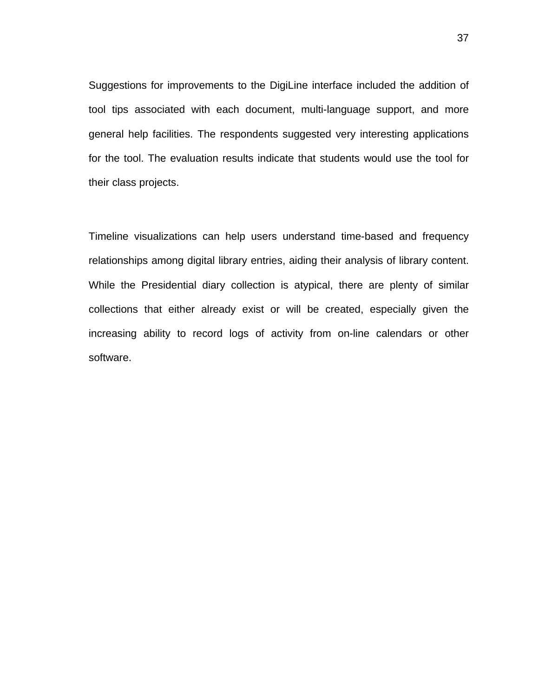Suggestions for improvements to the DigiLine interface included the addition of tool tips associated with each document, multi-language support, and more general help facilities. The respondents suggested very interesting applications for the tool. The evaluation results indicate that students would use the tool for their class projects.

Timeline visualizations can help users understand time-based and frequency relationships among digital library entries, aiding their analysis of library content. While the Presidential diary collection is atypical, there are plenty of similar collections that either already exist or will be created, especially given the increasing ability to record logs of activity from on-line calendars or other software.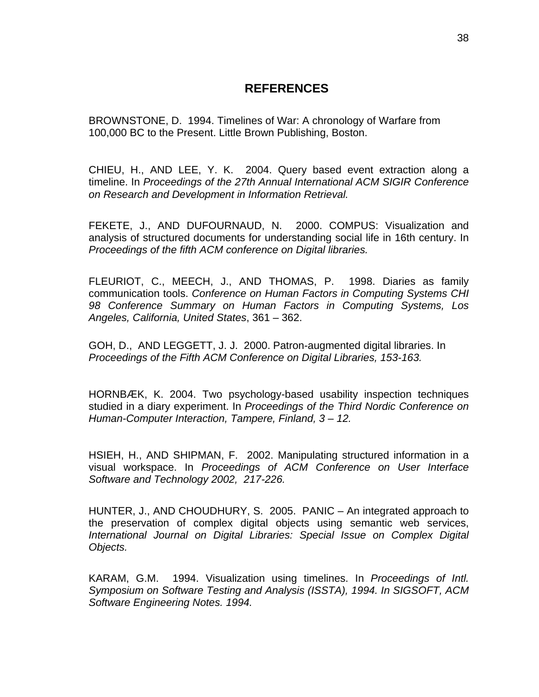# **REFERENCES**

BROWNSTONE, D. 1994. Timelines of War: A chronology of Warfare from 100,000 BC to the Present. Little Brown Publishing, Boston.

CHIEU, H., AND LEE, Y. K. 2004. Query based event extraction along a timeline. In *Proceedings of the 27th Annual International ACM SIGIR Conference on Research and Development in Information Retrieval.*

FEKETE, J., AND DUFOURNAUD, N. 2000. COMPUS: Visualization and analysis of structured documents for understanding social life in 16th century. In *Proceedings of the fifth ACM conference on Digital libraries.*

FLEURIOT, C., MEECH, J., AND THOMAS, P. 1998. Diaries as family communication tools. *Conference on Human Factors in Computing Systems CHI 98 Conference Summary on Human Factors in Computing Systems, Los Angeles, California, United States*, 361 – 362.

GOH, D., AND LEGGETT, J. J. 2000. Patron-augmented digital libraries. In *Proceedings of the Fifth ACM Conference on Digital Libraries, 153-163.* 

HORNBÆK, K. 2004. Two psychology-based usability inspection techniques studied in a diary experiment. In *Proceedings of the Third Nordic Conference on Human-Computer Interaction, Tampere, Finland, 3 – 12.*

HSIEH, H., AND SHIPMAN, F. 2002. Manipulating structured information in a visual workspace. In *Proceedings of ACM Conference on User Interface Software and Technology 2002, 217-226.*

HUNTER, J., AND CHOUDHURY, S. 2005. PANIC – An integrated approach to the preservation of complex digital objects using semantic web services, *International Journal on Digital Libraries: Special Issue on Complex Digital Objects.* 

KARAM, G.M. 1994. Visualization using timelines. In *Proceedings of Intl. Symposium on Software Testing and Analysis (ISSTA), 1994. In SIGSOFT, ACM Software Engineering Notes. 1994.*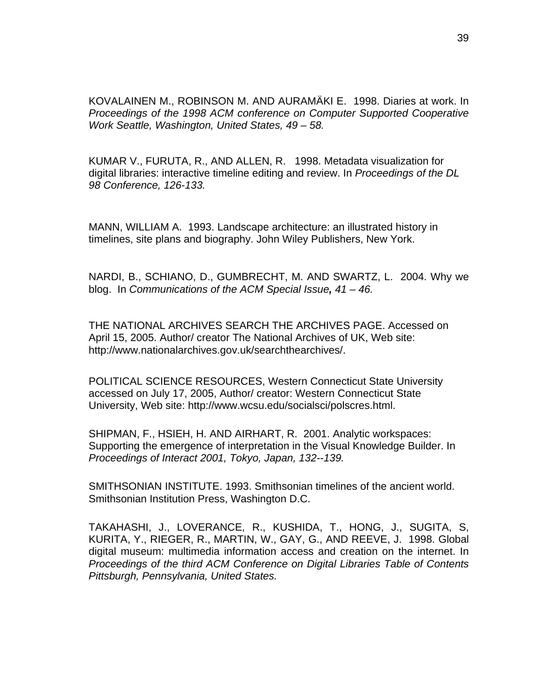KOVALAINEN M., ROBINSON M. AND AURAMÄKI E. 1998. Diaries at work. In *Proceedings of the 1998 ACM conference on Computer Supported Cooperative Work Seattle, Washington, United States, 49 – 58.* 

KUMAR V., FURUTA, R., AND ALLEN, R. 1998. Metadata visualization for digital libraries: interactive timeline editing and review. In *Proceedings of the DL 98 Conference, 126-133.* 

MANN, WILLIAM A. 1993. Landscape architecture: an illustrated history in timelines, site plans and biography. John Wiley Publishers, New York.

NARDI, B., SCHIANO, D., GUMBRECHT, M. AND SWARTZ, L. 2004. Why we blog. In *Communications of the ACM Special Issue, 41 – 46.*

THE NATIONAL ARCHIVES SEARCH THE ARCHIVES PAGE. Accessed on April 15, 2005. Author/ creator The National Archives of UK, Web site: http://www.nationalarchives.gov.uk/searchthearchives/.

POLITICAL SCIENCE RESOURCES, Western Connecticut State University accessed on July 17, 2005, Author/ creator: Western Connecticut State University, Web site: http://www.wcsu.edu/socialsci/polscres.html.

SHIPMAN, F., HSIEH, H. AND AIRHART, R. 2001. Analytic workspaces: Supporting the emergence of interpretation in the Visual Knowledge Builder. In *Proceedings of Interact 2001, Tokyo, Japan, 132--139.*

SMITHSONIAN INSTITUTE. 1993. Smithsonian timelines of the ancient world. Smithsonian Institution Press, Washington D.C.

TAKAHASHI, J., LOVERANCE, R., KUSHIDA, T., HONG, J., SUGITA, S, KURITA, Y., RIEGER, R., MARTIN, W., GAY, G., AND REEVE, J. 1998. Global digital museum: multimedia information access and creation on the internet. In *Proceedings of the third ACM Conference on Digital Libraries Table of Contents Pittsburgh, Pennsylvania, United States.*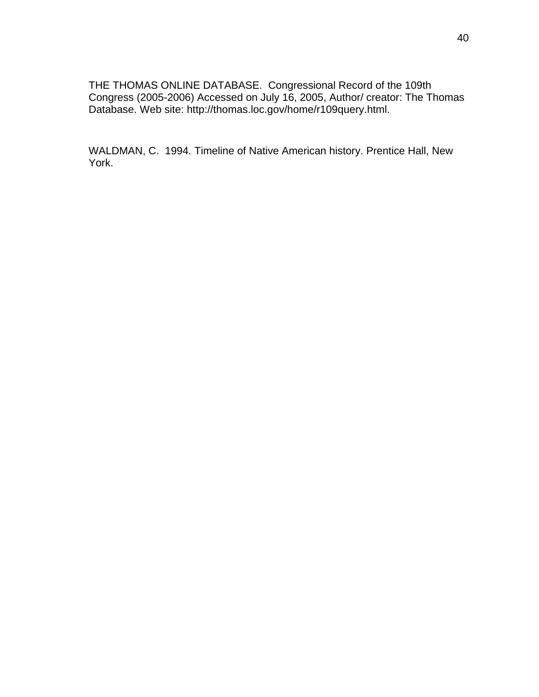THE THOMAS ONLINE DATABASE. Congressional Record of the 109th Congress (2005-2006) Accessed on July 16, 2005, Author/ creator: The Thomas Database. Web site: http://thomas.loc.gov/home/r109query.html.

WALDMAN, C. 1994. Timeline of Native American history. Prentice Hall, New York.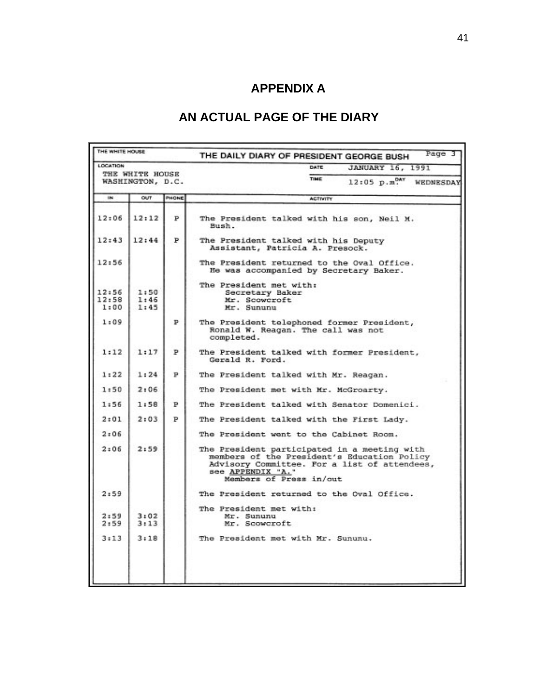# **APPENDIX A**

# **AN ACTUAL PAGE OF THE DIARY**

| TIME<br>WASHINGTON, D.C.<br>OUT<br>PHONE<br>194<br><b>ACTIVITY</b><br>12:06<br>12:12<br>P<br>Bush.<br>12:43<br>12:44<br>P<br>Assistant, Patricia A. Presock.<br>12:56<br>The President met with:<br>12:56<br>1:50<br>Secretary Baker<br>12:58<br>1:46<br>Mr. Scowcroft<br>1:00<br>1:45<br>Mr. Sununu<br>1:09<br>Р<br>completed.<br>1:12<br>1:17<br>Þ<br>Gerald R. Ford.<br>1:22<br>1:24<br>Р<br>1:50<br>2:06<br>1:56<br>1:58<br>Þ<br>2:03<br>2:01<br>P<br>2:06<br>2:06<br>2:59<br>see APPENDIX "A."<br>Members of Press in/out<br>2:59 |                 |  |  | DATE<br><b>JANUARY 16, 1991</b>                                                                                                             |
|----------------------------------------------------------------------------------------------------------------------------------------------------------------------------------------------------------------------------------------------------------------------------------------------------------------------------------------------------------------------------------------------------------------------------------------------------------------------------------------------------------------------------------------|-----------------|--|--|---------------------------------------------------------------------------------------------------------------------------------------------|
|                                                                                                                                                                                                                                                                                                                                                                                                                                                                                                                                        | THE WHITE HOUSE |  |  | $12:05$ $p.m.0AY$<br>WEDNESDAY                                                                                                              |
|                                                                                                                                                                                                                                                                                                                                                                                                                                                                                                                                        |                 |  |  |                                                                                                                                             |
|                                                                                                                                                                                                                                                                                                                                                                                                                                                                                                                                        |                 |  |  | The President talked with his son, Neil M.                                                                                                  |
|                                                                                                                                                                                                                                                                                                                                                                                                                                                                                                                                        |                 |  |  | The President talked with his Deputy                                                                                                        |
|                                                                                                                                                                                                                                                                                                                                                                                                                                                                                                                                        |                 |  |  | The President returned to the Oval Office.<br>He was accompanied by Secretary Baker.                                                        |
|                                                                                                                                                                                                                                                                                                                                                                                                                                                                                                                                        |                 |  |  |                                                                                                                                             |
|                                                                                                                                                                                                                                                                                                                                                                                                                                                                                                                                        |                 |  |  | The President telephoned former President,<br>Ronald W. Reagan. The call was not                                                            |
|                                                                                                                                                                                                                                                                                                                                                                                                                                                                                                                                        |                 |  |  | The President talked with former President,                                                                                                 |
|                                                                                                                                                                                                                                                                                                                                                                                                                                                                                                                                        |                 |  |  | The President talked with Mr. Reagan.                                                                                                       |
|                                                                                                                                                                                                                                                                                                                                                                                                                                                                                                                                        |                 |  |  | The President met with Mr. McGroarty.                                                                                                       |
|                                                                                                                                                                                                                                                                                                                                                                                                                                                                                                                                        |                 |  |  | The President talked with Senator Domenici.                                                                                                 |
|                                                                                                                                                                                                                                                                                                                                                                                                                                                                                                                                        |                 |  |  | The President talked with the First Lady.                                                                                                   |
|                                                                                                                                                                                                                                                                                                                                                                                                                                                                                                                                        |                 |  |  | The President went to the Cabinet Room.                                                                                                     |
|                                                                                                                                                                                                                                                                                                                                                                                                                                                                                                                                        |                 |  |  | The President participated in a meeting with<br>members of the President's Education Policy<br>Advisory Committee. For a list of attendees, |
|                                                                                                                                                                                                                                                                                                                                                                                                                                                                                                                                        |                 |  |  | The President returned to the Oval Office.                                                                                                  |
| 2:59<br>3:02<br>Mr. Sununu<br>2:59<br>3:13<br>Mr. Scowcroft                                                                                                                                                                                                                                                                                                                                                                                                                                                                            |                 |  |  | The President met with:                                                                                                                     |
| 3:13<br>3:18<br>The President met with Mr. Sununu.                                                                                                                                                                                                                                                                                                                                                                                                                                                                                     |                 |  |  |                                                                                                                                             |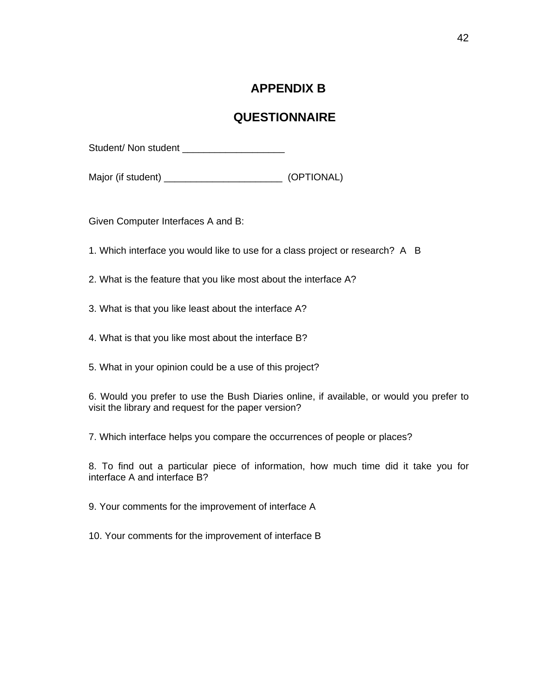# **APPENDIX B**

# **QUESTIONNAIRE**

Student/ Non student

Major (if student) \_\_\_\_\_\_\_\_\_\_\_\_\_\_\_\_\_\_\_\_\_\_ (OPTIONAL)

Given Computer Interfaces A and B:

1. Which interface you would like to use for a class project or research? A B

- 2. What is the feature that you like most about the interface A?
- 3. What is that you like least about the interface A?
- 4. What is that you like most about the interface B?
- 5. What in your opinion could be a use of this project?

6. Would you prefer to use the Bush Diaries online, if available, or would you prefer to visit the library and request for the paper version?

7. Which interface helps you compare the occurrences of people or places?

8. To find out a particular piece of information, how much time did it take you for interface A and interface B?

9. Your comments for the improvement of interface A

10. Your comments for the improvement of interface B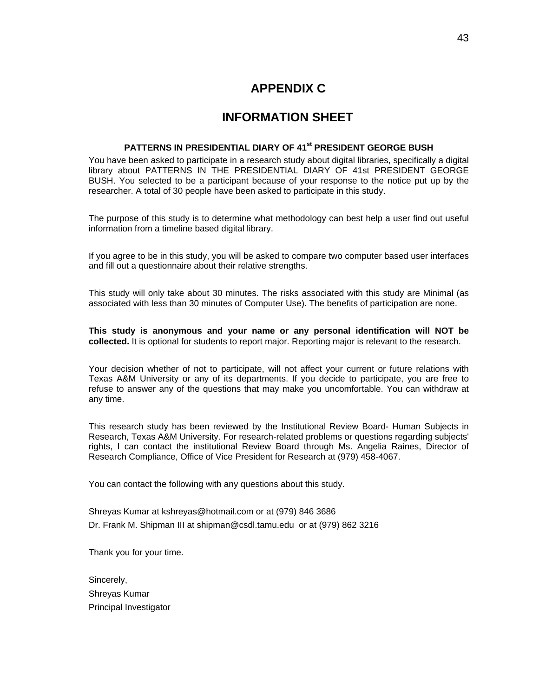# **APPENDIX C**

# **INFORMATION SHEET**

#### **PATTERNS IN PRESIDENTIAL DIARY OF 41st PRESIDENT GEORGE BUSH**

You have been asked to participate in a research study about digital libraries, specifically a digital library about PATTERNS IN THE PRESIDENTIAL DIARY OF 41st PRESIDENT GEORGE BUSH. You selected to be a participant because of your response to the notice put up by the researcher. A total of 30 people have been asked to participate in this study.

The purpose of this study is to determine what methodology can best help a user find out useful information from a timeline based digital library.

If you agree to be in this study, you will be asked to compare two computer based user interfaces and fill out a questionnaire about their relative strengths.

This study will only take about 30 minutes. The risks associated with this study are Minimal (as associated with less than 30 minutes of Computer Use). The benefits of participation are none.

**This study is anonymous and your name or any personal identification will NOT be collected.** It is optional for students to report major. Reporting major is relevant to the research.

Your decision whether of not to participate, will not affect your current or future relations with Texas A&M University or any of its departments. If you decide to participate, you are free to refuse to answer any of the questions that may make you uncomfortable. You can withdraw at any time.

This research study has been reviewed by the Institutional Review Board- Human Subjects in Research, Texas A&M University. For research-related problems or questions regarding subjects' rights, I can contact the institutional Review Board through Ms. Angelia Raines, Director of Research Compliance, Office of Vice President for Research at (979) 458-4067.

You can contact the following with any questions about this study.

Shreyas Kumar at kshreyas@hotmail.com or at (979) 846 3686 Dr. Frank M. Shipman III at shipman@csdl.tamu.edu or at (979) 862 3216

Thank you for your time.

Sincerely, Shreyas Kumar Principal Investigator